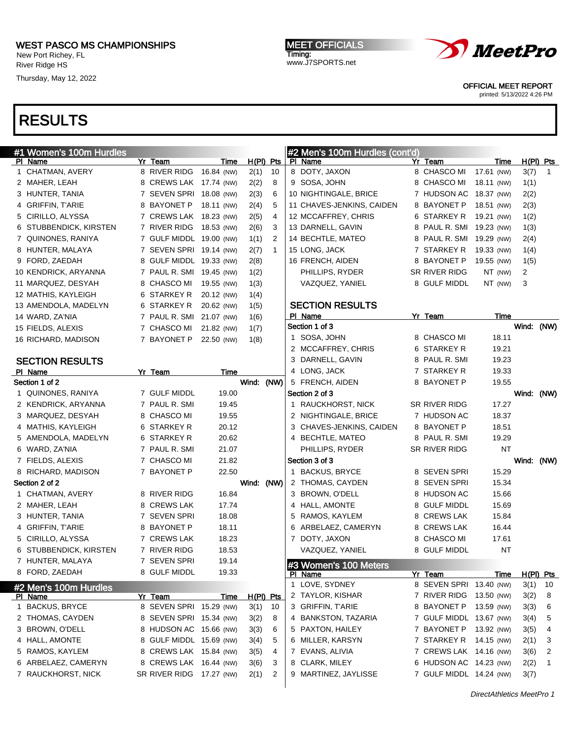New Port Richey, FL River Ridge HS

Thursday, May 12, 2022

MEET OFFICIALS Timing: www.J7SPORTS.net



OFFICIAL MEET REPORT

printed: 5/13/2022 4:26 PM

| #1 Women's 100m Hurdles |               |                          |            |                | #2 Men's 100m Hurdles (cont'd) |                          |            |             |                |              |
|-------------------------|---------------|--------------------------|------------|----------------|--------------------------------|--------------------------|------------|-------------|----------------|--------------|
| PI Name                 | Yr Team       | Time                     |            | $H(PI)$ Pts    | PI Name                        | Yr Team                  |            | Time        | H(PI) Pts      |              |
| 1 CHATMAN, AVERY        |               | 8 RIVER RIDG 16.84 (NW)  | 2(1)       | 10             | 8 DOTY, JAXON                  | 8 CHASCO MI              | 17.61 (NW) |             | 3(7)           | $\mathbf{1}$ |
| 2 MAHER, LEAH           |               | 8 CREWS LAK 17.74 (NW)   | 2(2)       | 8              | 9 SOSA, JOHN                   | 8 CHASCO MI              | 18.11 (NW) |             | 1(1)           |              |
| 3 HUNTER, TANIA         |               | 7 SEVEN SPRI 18.08 (NW)  | 2(3)       | 6              | 10 NIGHTINGALE, BRICE          | 7 HUDSON AC 18.37 (NW)   |            |             | 2(2)           |              |
| 4 GRIFFIN, T'ARIE       |               | 8 BAYONET P 18.11 (NW)   | 2(4)       | 5              | 11 CHAVES-JENKINS, CAIDEN      | 8 BAYONET P              | 18.51 (NW) |             | 2(3)           |              |
| 5 CIRILLO, ALYSSA       |               | 7 CREWS LAK 18.23 (NW)   | 2(5)       | 4              | 12 MCCAFFREY, CHRIS            | 6 STARKEY R              | 19.21 (NW) |             | 1(2)           |              |
| 6 STUBBENDICK, KIRSTEN  |               | 7 RIVER RIDG 18.53 (NW)  | 2(6)       | 3              | 13 DARNELL, GAVIN              | 8 PAUL R. SMI 19.23 (NW) |            |             | 1(3)           |              |
| 7 QUINONES, RANIYA      |               | 7 GULF MIDDL 19.00 (NW)  | 1(1)       | 2              | 14 BECHTLE, MATEO              | 8 PAUL R. SMI 19.29 (NW) |            |             | 2(4)           |              |
| 8 HUNTER, MALAYA        |               | 7 SEVEN SPRI 19.14 (NW)  | 2(7)       | $\mathbf 1$    | 15 LONG, JACK                  | 7 STARKEY R              | 19.33 (NW) |             | 1(4)           |              |
| 9 FORD, ZAEDAH          |               | 8 GULF MIDDL 19.33 (NW)  | 2(8)       |                | 16 FRENCH, AIDEN               | 8 BAYONET P              | 19.55 (NW) |             | 1(5)           |              |
| 10 KENDRICK, ARYANNA    |               | 7 PAUL R. SMI 19.45 (NW) | 1(2)       |                | PHILLIPS, RYDER                | SR RIVER RIDG            | $NT$ (NW)  |             | $\overline{c}$ |              |
| 11 MARQUEZ, DESYAH      | 8 CHASCO MI   | 19.55 (NW)               | 1(3)       |                | VAZQUEZ, YANIEL                | 8 GULF MIDDL             | NT (NW)    |             | 3              |              |
| 12 MATHIS, KAYLEIGH     | 6 STARKEY R   | 20.12 (NW)               | 1(4)       |                |                                |                          |            |             |                |              |
| 13 AMENDOLA, MADELYN    | 6 STARKEY R   | 20.62 (NW)               | 1(5)       |                | <b>SECTION RESULTS</b>         |                          |            |             |                |              |
| 14 WARD, ZA'NIA         | 7 PAUL R. SMI | 21.07 (NW)               | 1(6)       |                | PI Name                        | Yr Team                  |            | Time        |                |              |
| 15 FIELDS, ALEXIS       | 7 CHASCO MI   | 21.82 (NW)               | 1(7)       |                | Section 1 of 3                 |                          |            |             | Wind: (NW)     |              |
| 16 RICHARD, MADISON     | 7 BAYONET P   | 22.50 (NW)               | 1(8)       |                | 1 SOSA, JOHN                   | 8 CHASCO MI              |            | 18.11       |                |              |
|                         |               |                          |            |                | 2 MCCAFFREY, CHRIS             | 6 STARKEY R              |            | 19.21       |                |              |
| <b>SECTION RESULTS</b>  |               |                          |            |                | 3 DARNELL, GAVIN               | 8 PAUL R. SMI            |            | 19.23       |                |              |
| PI Name                 | Yr Team       | Time                     |            |                | 4 LONG, JACK                   | 7 STARKEY R              |            | 19.33       |                |              |
| Section 1 of 2          |               |                          | Wind: (NW) |                | 5 FRENCH, AIDEN                | 8 BAYONET P              |            | 19.55       |                |              |
| 1 QUINONES, RANIYA      | 7 GULF MIDDL  | 19.00                    |            |                | Section 2 of 3                 |                          |            |             | Wind:          | (NW)         |
| 2 KENDRICK, ARYANNA     | 7 PAUL R. SMI | 19.45                    |            |                | 1 RAUCKHORST, NICK             | SR RIVER RIDG            |            | 17.27       |                |              |
| 3 MARQUEZ, DESYAH       | 8 CHASCO MI   | 19.55                    |            |                | 2 NIGHTINGALE, BRICE           | 7 HUDSON AC              |            | 18.37       |                |              |
| 4 MATHIS, KAYLEIGH      | 6 STARKEY R   | 20.12                    |            |                | 3 CHAVES-JENKINS, CAIDEN       | 8 BAYONET P              |            | 18.51       |                |              |
| 5 AMENDOLA, MADELYN     | 6 STARKEY R   | 20.62                    |            |                | 4 BECHTLE, MATEO               | 8 PAUL R. SMI            |            | 19.29       |                |              |
| 6 WARD, ZA'NIA          | 7 PAUL R. SMI | 21.07                    |            |                | PHILLIPS, RYDER                | SR RIVER RIDG            |            | <b>NT</b>   |                |              |
| 7 FIELDS, ALEXIS        | 7 CHASCO MI   | 21.82                    |            |                | Section 3 of 3                 |                          |            |             | Wind: (NW)     |              |
| 8 RICHARD, MADISON      | 7 BAYONET P   | 22.50                    |            |                | 1 BACKUS, BRYCE                | 8 SEVEN SPRI             |            | 15.29       |                |              |
| Section 2 of 2          |               |                          | Wind: (NW) |                | 2 THOMAS, CAYDEN               | 8 SEVEN SPRI             |            | 15.34       |                |              |
| 1 CHATMAN, AVERY        | 8 RIVER RIDG  | 16.84                    |            |                | 3 BROWN, O'DELL                | 8 HUDSON AC              |            | 15.66       |                |              |
| 2 MAHER, LEAH           | 8 CREWS LAK   | 17.74                    |            |                | 4 HALL, AMONTE                 | 8 GULF MIDDL             |            | 15.69       |                |              |
| 3 HUNTER, TANIA         | 7 SEVEN SPRI  | 18.08                    |            |                | 5 RAMOS, KAYLEM                | 8 CREWS LAK              |            | 15.84       |                |              |
| 4 GRIFFIN, T'ARIE       | 8 BAYONET P   | 18.11                    |            |                | 6 ARBELAEZ, CAMERYN            | 8 CREWS LAK              |            | 16.44       |                |              |
| 5 CIRILLO, ALYSSA       | 7 CREWS LAK   | 18.23                    |            |                | 7 DOTY, JAXON                  | 8 CHASCO MI              |            | 17.61       |                |              |
| 6 STUBBENDICK, KIRSTEN  | 7 RIVER RIDG  | 18.53                    |            |                | VAZQUEZ, YANIEL                | 8 GULF MIDDL             |            | <b>NT</b>   |                |              |
| 7 HUNTER, MALAYA        | 7 SEVEN SPRI  | 19.14                    |            |                | #3 Women's 100 Meters          |                          |            |             |                |              |
| 8 FORD, ZAEDAH          | 8 GULF MIDDL  | 19.33                    |            |                | PI Name                        | Yr Team                  |            | <u>Time</u> | H(PI) Pts      |              |
| #2 Men's 100m Hurdles   |               |                          |            |                | 1 LOVE, SYDNEY                 | 8 SEVEN SPRI 13.40 (NW)  |            |             | 3(1)           | 10           |
| PI Name                 | Yr Team       | Time                     |            | $H(PI)$ Pts    | 2 TAYLOR, KISHAR               | 7 RIVER RIDG             | 13.50 (NW) |             | 3(2)           | 8            |
| 1 BACKUS, BRYCE         |               | 8 SEVEN SPRI 15.29 (NW)  | 3(1)       | 10             | 3 GRIFFIN, T'ARIE              | 8 BAYONET P              | 13.59 (NW) |             | 3(3)           | 6            |
| 2 THOMAS, CAYDEN        |               | 8 SEVEN SPRI 15.34 (NW)  | 3(2)       | 8              | 4 BANKSTON, TAZARIA            | 7 GULF MIDDL 13.67 (NW)  |            |             | 3(4)           | 5            |
| 3 BROWN, O'DELL         |               | 8 HUDSON AC 15.66 (NW)   | 3(3)       | 6              | 5 PAXTON, HAILEY               | 7 BAYONET P              | 13.92 (NW) |             | 3(5)           | 4            |
| 4 HALL, AMONTE          |               | 8 GULF MIDDL 15.69 (NW)  | 3(4)       | 5              | 6 MILLER, KARSYN               | 7 STARKEY R              | 14.15 (NW) |             | 2(1)           | 3            |
| 5 RAMOS, KAYLEM         |               | 8 CREWS LAK 15.84 (NW)   | 3(5)       | 4              | 7 EVANS, ALIVIA                | 7 CREWS LAK 14.16 (NW)   |            |             | 3(6)           | 2            |
| 6 ARBELAEZ, CAMERYN     |               | 8 CREWS LAK 16.44 (NW)   | 3(6)       | 3              | 8 CLARK, MILEY                 | 6 HUDSON AC 14.23 (NW)   |            |             | 2(2)           | 1            |
| 7 RAUCKHORST, NICK      |               | SR RIVER RIDG 17.27 (NW) | 2(1)       | $\overline{c}$ | 9 MARTINEZ, JAYLISSE           | 7 GULF MIDDL 14.24 (NW)  |            |             | 3(7)           |              |
|                         |               |                          |            |                |                                |                          |            |             |                |              |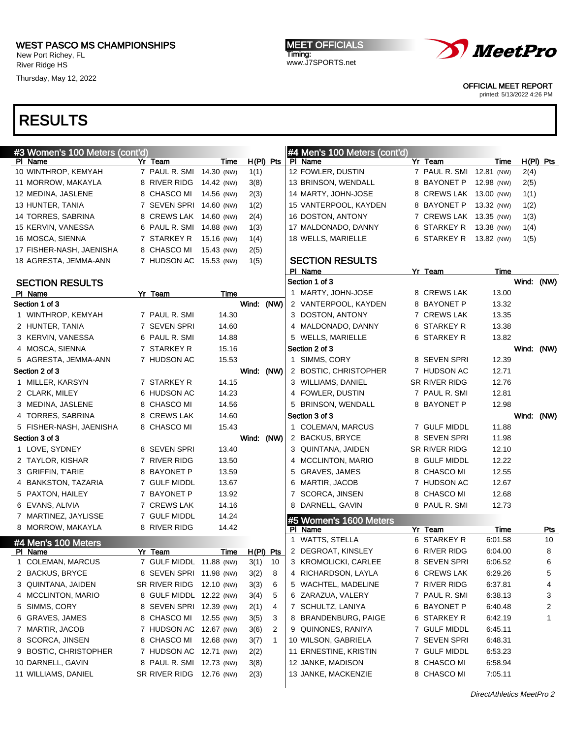New Port Richey, FL River Ridge HS

Thursday, May 12, 2022

MEET OFFICIALS Timing: www.J7SPORTS.net



OFFICIAL MEET REPORT

printed: 5/13/2022 4:26 PM

| #3 Women's 100 Meters (cont'd) |                          |             |             |                 | #4 Men's 100 Meters (cont'd)      |                          |             |            |             |
|--------------------------------|--------------------------|-------------|-------------|-----------------|-----------------------------------|--------------------------|-------------|------------|-------------|
| PI Name                        | Yr Team                  | Time        | $H(PI)$ Pts |                 | PI Name                           | Yr Team                  | Time        |            | $H(PI)$ Pts |
| 10 WINTHROP, KEMYAH            | 7 PAUL R. SMI 14.30 (NW) |             | 1(1)        |                 | 12 FOWLER, DUSTIN                 | 7 PAUL R. SMI 12.81 (NW) |             | 2(4)       |             |
| 11 MORROW, MAKAYLA             | 8 RIVER RIDG             | 14.42 (NW)  | 3(8)        |                 | 13 BRINSON, WENDALL               | 8 BAYONET P              | 12.98 (NW)  | 2(5)       |             |
| 12 MEDINA, JASLENE             | 8 CHASCO MI              | 14.56 (NW)  | 2(3)        |                 | 14 MARTY, JOHN-JOSE               | 8 CREWS LAK 13.00 (NW)   |             | 1(1)       |             |
| 13 HUNTER, TANIA               | 7 SEVEN SPRI 14.60 (NW)  |             | 1(2)        |                 | 15 VANTERPOOL, KAYDEN             | 8 BAYONET P              | 13.32 (NW)  | 1(2)       |             |
| 14 TORRES, SABRINA             | 8 CREWS LAK 14.60 (NW)   |             | 2(4)        |                 | 16 DOSTON, ANTONY                 | 7 CREWS LAK 13.35 (NW)   |             | 1(3)       |             |
| 15 KERVIN, VANESSA             | 6 PAUL R. SMI 14.88 (NW) |             | 1(3)        |                 | 17 MALDONADO, DANNY               | 6 STARKEY R              | 13.38 (NW)  | 1(4)       |             |
| 16 MOSCA, SIENNA               | 7 STARKEY R              | 15.16 (NW)  | 1(4)        |                 | 18 WELLS, MARIELLE                | 6 STARKEY R              | 13.82 (NW)  | 1(5)       |             |
| 17 FISHER-NASH, JAENISHA       | 8 CHASCO MI              | 15.43 (NW)  | 2(5)        |                 |                                   |                          |             |            |             |
| 18 AGRESTA, JEMMA-ANN          | 7 HUDSON AC 15.53 (NW)   |             | 1(5)        |                 | <b>SECTION RESULTS</b>            |                          |             |            |             |
|                                |                          |             |             |                 | PI Name                           | Yr Team                  | Time        |            |             |
| <b>SECTION RESULTS</b>         |                          |             |             |                 | Section 1 of 3                    |                          |             | Wind: (NW) |             |
| PI Name                        | Yr Team                  | Time        |             |                 | 1 MARTY, JOHN-JOSE                | 8 CREWS LAK              | 13.00       |            |             |
| Section 1 of 3                 |                          |             | Wind: (NW)  |                 | 2 VANTERPOOL, KAYDEN              | 8 BAYONET P              | 13.32       |            |             |
| 1 WINTHROP, KEMYAH             | 7 PAUL R. SMI            | 14.30       |             |                 | 3 DOSTON, ANTONY                  | 7 CREWS LAK              | 13.35       |            |             |
| 2 HUNTER, TANIA                | 7 SEVEN SPRI             | 14.60       |             |                 | 4 MALDONADO, DANNY                | 6 STARKEY R              | 13.38       |            |             |
| 3 KERVIN, VANESSA              | 6 PAUL R. SMI            | 14.88       |             |                 | 5 WELLS, MARIELLE                 | 6 STARKEY R              | 13.82       |            |             |
| 4 MOSCA, SIENNA                | 7 STARKEY R              | 15.16       |             |                 | Section 2 of 3                    |                          |             | Wind: (NW) |             |
| 5 AGRESTA, JEMMA-ANN           | 7 HUDSON AC              | 15.53       |             |                 | 1 SIMMS, CORY                     | 8 SEVEN SPRI             | 12.39       |            |             |
| Section 2 of 3                 |                          |             | Wind: (NW)  |                 | 2 BOSTIC, CHRISTOPHER             | 7 HUDSON AC              | 12.71       |            |             |
| 1 MILLER, KARSYN               | 7 STARKEY R              | 14.15       |             |                 | 3 WILLIAMS, DANIEL                | SR RIVER RIDG            | 12.76       |            |             |
| 2 CLARK, MILEY                 | 6 HUDSON AC              | 14.23       |             |                 | 4 FOWLER, DUSTIN                  | 7 PAUL R. SMI            | 12.81       |            |             |
| 3 MEDINA, JASLENE              | 8 CHASCO MI              | 14.56       |             |                 | 5 BRINSON, WENDALL                | 8 BAYONET P              | 12.98       |            |             |
| 4 TORRES, SABRINA              | 8 CREWS LAK              | 14.60       |             |                 | Section 3 of 3                    |                          |             | Wind: (NW) |             |
| 5 FISHER-NASH, JAENISHA        | 8 CHASCO MI              | 15.43       |             |                 | 1 COLEMAN, MARCUS                 | 7 GULF MIDDL             | 11.88       |            |             |
| Section 3 of 3                 |                          |             | Wind: (NW)  |                 | 2 BACKUS, BRYCE                   | 8 SEVEN SPRI             | 11.98       |            |             |
| 1 LOVE, SYDNEY                 | 8 SEVEN SPRI             | 13.40       |             |                 | 3 QUINTANA, JAIDEN                | SR RIVER RIDG            | 12.10       |            |             |
| 2 TAYLOR, KISHAR               | 7 RIVER RIDG             | 13.50       |             |                 | 4 MCCLINTON, MARIO                | 8 GULF MIDDL             | 12.22       |            |             |
| 3 GRIFFIN, T'ARIE              | 8 BAYONET P              | 13.59       |             |                 | 5 GRAVES, JAMES                   | 8 CHASCO MI              | 12.55       |            |             |
| 4 BANKSTON, TAZARIA            | 7 GULF MIDDL             | 13.67       |             |                 | 6 MARTIR, JACOB                   | 7 HUDSON AC              | 12.67       |            |             |
| 5 PAXTON, HAILEY               | 7 BAYONET P              | 13.92       |             |                 | 7 SCORCA, JINSEN                  | 8 CHASCO MI              | 12.68       |            |             |
| 6 EVANS, ALIVIA                | 7 CREWS LAK              | 14.16       |             |                 | 8 DARNELL, GAVIN                  | 8 PAUL R. SMI            | 12.73       |            |             |
| 7 MARTINEZ, JAYLISSE           | 7 GULF MIDDL             | 14.24       |             |                 |                                   |                          |             |            |             |
| 8 MORROW, MAKAYLA              | 8 RIVER RIDG             | 14.42       |             |                 | #5 Women's 1600 Meters<br>PI Name | Yr Team                  | <b>Time</b> |            | <u>Pts</u>  |
|                                |                          |             |             |                 | 1 WATTS, STELLA                   | 6 STARKEY R              | 6:01.58     |            | 10          |
| #4 Men's 100 Meters<br>PI Name | Yr Team                  | <u>Time</u> | $H(PI)$ Pts |                 | 2 DEGROAT, KINSLEY                | 6 RIVER RIDG             | 6:04.00     |            | 8           |
| 1 COLEMAN, MARCUS              | 7 GULF MIDDL 11.88 (NW)  |             | 3(1)        | 10 <sup>°</sup> | 3 KROMOLICKI, CARLEE              | 8 SEVEN SPRI             | 6:06.52     |            | 6           |
| 2 BACKUS, BRYCE                | 8 SEVEN SPRI 11.98 (NW)  |             | 3(2)        | 8               | 4 RICHARDSON, LAYLA               | 6 CREWS LAK              | 6:29.26     |            | 5           |
| 3 QUINTANA, JAIDEN             | SR RIVER RIDG 12.10 (NW) |             | 3(3)        | 6               | 5 WACHTEL, MADELINE               | 7 RIVER RIDG             | 6:37.81     |            | 4           |
| 4 MCCLINTON, MARIO             | 8 GULF MIDDL 12.22 (NW)  |             | 3(4)        | 5               | 6 ZARAZUA, VALERY                 | 7 PAUL R. SMI            | 6:38.13     |            | 3           |
| 5 SIMMS, CORY                  | 8 SEVEN SPRI 12.39 (NW)  |             |             |                 | 7 SCHULTZ, LANIYA                 | 6 BAYONET P              | 6:40.48     |            |             |
|                                |                          |             | 2(1)        | 4               |                                   | 6 STARKEY R              |             |            | 2<br>1      |
| 6 GRAVES, JAMES                | 8 CHASCO MI              | 12.55 (NW)  | 3(5)        | 3               | 8 BRANDENBURG, PAIGE              |                          | 6:42.19     |            |             |
| 7 MARTIR, JACOB                | 7 HUDSON AC              | 12.67 (NW)  | 3(6)        | 2               | 9 QUINONES, RANIYA                | 7 GULF MIDDL             | 6:45.11     |            |             |
| 8 SCORCA, JINSEN               | 8 CHASCO MI              | 12.68 (NW)  | 3(7)        | 1               | 10 WILSON, GABRIELA               | 7 SEVEN SPRI             | 6:48.31     |            |             |
| 9 BOSTIC, CHRISTOPHER          | 7 HUDSON AC 12.71 (NW)   |             | 2(2)        |                 | 11 ERNESTINE, KRISTIN             | 7 GULF MIDDL             | 6:53.23     |            |             |
| 10 DARNELL, GAVIN              | 8 PAUL R. SMI 12.73 (NW) |             | 3(8)        |                 | 12 JANKE, MADISON                 | 8 CHASCO MI              | 6:58.94     |            |             |
| 11 WILLIAMS, DANIEL            | SR RIVER RIDG 12.76 (NW) |             | 2(3)        |                 | 13 JANKE, MACKENZIE               | 8 CHASCO MI              | 7:05.11     |            |             |
|                                |                          |             |             |                 |                                   |                          |             |            |             |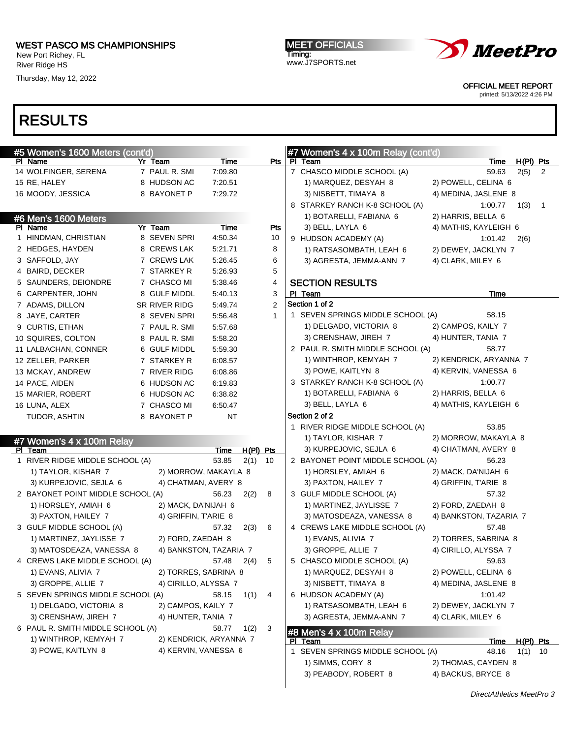New Port Richey, FL River Ridge HS

Thursday, May 12, 2022

MEET OFFICIALS Timing: www.J7SPORTS.net



OFFICIAL MEET REPORT

printed: 5/13/2022 4:26 PM

| #5 Women's 1600 Meters (cont'd)   |                      |                        |                | #7 Women's 4 x 100m Relay (cont'd)           |                                         |
|-----------------------------------|----------------------|------------------------|----------------|----------------------------------------------|-----------------------------------------|
| PI Name                           | Yr Team              | Time                   | Pts            | PI Team                                      | $H(PI)$ Pts<br>Time                     |
| 14 WOLFINGER, SERENA              | 7 PAUL R. SMI        | 7:09.80                |                | 7 CHASCO MIDDLE SCHOOL (A)                   | 59.63<br>2(5)<br>$\overline{2}$         |
| 15 RE, HALEY                      | 8 HUDSON AC          | 7:20.51                |                | 1) MARQUEZ, DESYAH 8                         | 2) POWELL, CELINA 6                     |
| 16 MOODY, JESSICA                 | 8 BAYONET P          | 7:29.72                |                | 3) NISBETT, TIMAYA 8                         | 4) MEDINA, JASLENE 8                    |
|                                   |                      |                        |                | 8 STARKEY RANCH K-8 SCHOOL (A)               | 1:00.77<br>1(3)<br>$\overline{1}$       |
| #6 Men's 1600 Meters              |                      |                        |                | 1) BOTARELLI, FABIANA 6                      | 2) HARRIS, BELLA 6                      |
| PI Name                           | Yr Team              | Time                   | <u>Pts</u>     | 3) BELL, LAYLA 6                             | 4) MATHIS, KAYLEIGH 6                   |
| 1 HINDMAN, CHRISTIAN              | 8 SEVEN SPRI         | 4:50.34                | 10             | 9 HUDSON ACADEMY (A)                         | 1:01.42<br>2(6)                         |
| 2 HEDGES, HAYDEN                  | 8 CREWS LAK          | 5:21.71                | 8              | 1) RATSASOMBATH, LEAH 6                      | 2) DEWEY, JACKLYN 7                     |
| 3 SAFFOLD, JAY                    | 7 CREWS LAK          | 5:26.45                | 6              | 3) AGRESTA, JEMMA-ANN 7                      | 4) CLARK, MILEY 6                       |
| 4 BAIRD, DECKER                   | 7 STARKEY R          | 5:26.93                | 5              |                                              |                                         |
| 5 SAUNDERS, DEIONDRE              | 7 CHASCO MI          | 5:38.46                | 4              | <b>SECTION RESULTS</b>                       |                                         |
| 6 CARPENTER, JOHN                 | 8 GULF MIDDL         | 5:40.13                | 3              | PI Team                                      | Time                                    |
| 7 ADAMS, DILLON                   | SR RIVER RIDG        | 5:49.74                | $\overline{2}$ | Section 1 of 2                               |                                         |
| 8 JAYE, CARTER                    | 8 SEVEN SPRI         | 5:56.48                | $\mathbf{1}$   | 1 SEVEN SPRINGS MIDDLE SCHOOL (A)            | 58.15                                   |
| 9 CURTIS, ETHAN                   | 7 PAUL R. SMI        | 5:57.68                |                | 1) DELGADO, VICTORIA 8                       | 2) CAMPOS, KAILY 7                      |
| 10 SQUIRES, COLTON                | 8 PAUL R. SMI        | 5:58.20                |                | 3) CRENSHAW, JIREH 7                         | 4) HUNTER, TANIA 7                      |
| 11 LALBACHAN, CONNER              | 6 GULF MIDDL         | 5:59.30                |                | 2 PAUL R. SMITH MIDDLE SCHOOL (A)            | 58.77                                   |
| 12 ZELLER, PARKER                 | 7 STARKEY R          | 6:08.57                |                | 1) WINTHROP, KEMYAH 7                        | 2) KENDRICK, ARYANNA 7                  |
| 13 MCKAY, ANDREW                  | 7 RIVER RIDG         | 6:08.86                |                | 3) POWE, KAITLYN 8                           | 4) KERVIN, VANESSA 6                    |
| 14 PACE, AIDEN                    | 6 HUDSON AC          | 6:19.83                |                | 3 STARKEY RANCH K-8 SCHOOL (A)               | 1:00.77                                 |
| 15 MARIER, ROBERT                 | 6 HUDSON AC          | 6.38.82                |                | 1) BOTARELLI, FABIANA 6                      | 2) HARRIS, BELLA 6                      |
| 16 LUNA, ALEX                     | 7 CHASCO MI          | 6:50.47                |                | 3) BELL, LAYLA 6                             | 4) MATHIS, KAYLEIGH 6                   |
| TUDOR, ASHTIN                     | 8 BAYONET P          | <b>NT</b>              |                | Section 2 of 2                               |                                         |
|                                   |                      |                        |                | 1 RIVER RIDGE MIDDLE SCHOOL (A)              | 53.85                                   |
| #7 Women's 4 x 100m Relay         |                      |                        |                | 1) TAYLOR, KISHAR 7                          | 2) MORROW, MAKAYLA 8                    |
| PI Team                           |                      | <u>Time</u>            | H(PI) Pts      | 3) KURPEJOVIC, SEJLA 6                       | 4) CHATMAN, AVERY 8                     |
| 1 RIVER RIDGE MIDDLE SCHOOL (A)   |                      | 53.85<br>2(1)          | 10             | 2 BAYONET POINT MIDDLE SCHOOL (A)            | 56.23                                   |
| 1) TAYLOR, KISHAR 7               | 2) MORROW, MAKAYLA 8 |                        |                | 1) HORSLEY, AMIAH 6                          | 2) MACK, DA'NIJAH 6                     |
| 3) KURPEJOVIC, SEJLA 6            | 4) CHATMAN, AVERY 8  |                        |                | 3) PAXTON, HAILEY 7                          | 4) GRIFFIN, T'ARIE 8                    |
| 2 BAYONET POINT MIDDLE SCHOOL (A) |                      | 56.23<br>2(2)          | 8              | 3 GULF MIDDLE SCHOOL (A)                     | 57.32                                   |
| 1) HORSLEY, AMIAH 6               | 2) MACK, DA'NIJAH 6  |                        |                | 1) MARTINEZ, JAYLISSE 7                      | 2) FORD, ZAEDAH 8                       |
| 3) PAXTON, HAILEY 7               | 4) GRIFFIN, T'ARIE 8 |                        |                | 3) MATOSDEAZA, VANESSA 8                     | 4) BANKSTON, TAZARIA 7                  |
| 3 GULF MIDDLE SCHOOL (A)          |                      | 57.32<br>2(3)          | 6              | 4 CREWS LAKE MIDDLE SCHOOL (A)               | 57.48                                   |
| 1) MARTINEZ, JAYLISSE 7           | 2) FORD, ZAEDAH 8    |                        |                | 1) EVANS, ALIVIA 7                           | 2) TORRES, SABRINA 8                    |
| 3) MATOSDEAZA, VANESSA 8          |                      | 4) BANKSTON, TAZARIA 7 |                | 3) GROPPE, ALLIE 7                           | 4) CIRILLO, ALYSSA 7                    |
| 4 CREWS LAKE MIDDLE SCHOOL (A)    |                      | 57.48 2(4)             | -5             | 5 CHASCO MIDDLE SCHOOL (A)                   | 59.63                                   |
| 1) EVANS, ALIVIA 7                | 2) TORRES, SABRINA 8 |                        |                | 1) MARQUEZ, DESYAH 8                         | 2) POWELL, CELINA 6                     |
| 3) GROPPE, ALLIE 7                | 4) CIRILLO, ALYSSA 7 |                        |                | 3) NISBETT, TIMAYA 8                         | 4) MEDINA, JASLENE 8                    |
| 5 SEVEN SPRINGS MIDDLE SCHOOL (A) |                      | 58.15                  | $1(1)$ 4       | 6 HUDSON ACADEMY (A)                         | 1:01.42                                 |
| 1) DELGADO, VICTORIA 8            | 2) CAMPOS, KAILY 7   |                        |                | 1) RATSASOMBATH, LEAH 6                      | 2) DEWEY, JACKLYN 7                     |
| 3) CRENSHAW, JIREH 7              | 4) HUNTER, TANIA 7   |                        |                | 3) AGRESTA, JEMMA-ANN 7                      | 4) CLARK, MILEY 6                       |
| 6 PAUL R. SMITH MIDDLE SCHOOL (A) |                      | 58.77<br>1(2)          | 3              |                                              |                                         |
| 1) WINTHROP, KEMYAH 7             |                      | 2) KENDRICK, ARYANNA 7 |                | #8 Men's 4 x 100m Relay                      |                                         |
| 3) POWE, KAITLYN 8                | 4) KERVIN, VANESSA 6 |                        |                | PI Team<br>1 SEVEN SPRINGS MIDDLE SCHOOL (A) | H(PI) Pts<br>Time<br>48.16<br>$1(1)$ 10 |
|                                   |                      |                        |                | 1) SIMMS, CORY 8                             | 2) THOMAS, CAYDEN 8                     |
|                                   |                      |                        |                | 3) PEABODY, ROBERT 8                         | 4) BACKUS, BRYCE 8                      |
|                                   |                      |                        |                |                                              |                                         |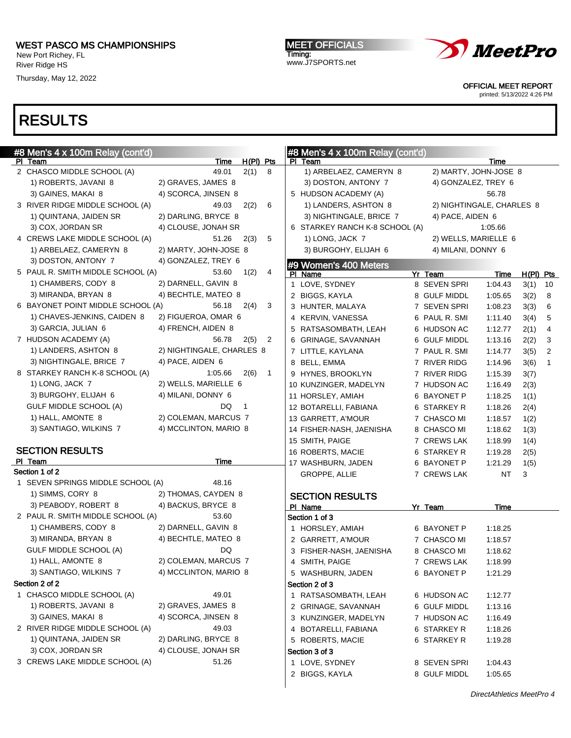New Port Richey, FL River Ridge HS

Thursday, May 12, 2022

MEET OFFICIALS Timing: www.J7SPORTS.net



OFFICIAL MEET REPORT

printed: 5/13/2022 4:26 PM

| #8 Men's 4 x 100m Relay (cont'd)  |                           |                        | #8 Men's 4 x 100m Relay (cont'd)  |              |                           |                      |
|-----------------------------------|---------------------------|------------------------|-----------------------------------|--------------|---------------------------|----------------------|
| PI Team                           | <b>Time</b>               | $H(PI)$ Pts            | PI Team                           |              | Time                      |                      |
| 2 CHASCO MIDDLE SCHOOL (A)        | 49.01                     | 2(1)<br>8              | 1) ARBELAEZ, CAMERYN 8            |              | 2) MARTY, JOHN-JOSE 8     |                      |
| 1) ROBERTS, JAVANI 8              | 2) GRAVES, JAMES 8        |                        | 3) DOSTON, ANTONY 7               |              | 4) GONZALEZ, TREY 6       |                      |
| 3) GAINES, MAKAI 8                | 4) SCORCA, JINSEN 8       |                        | 5 HUDSON ACADEMY (A)              |              | 56.78                     |                      |
| 3 RIVER RIDGE MIDDLE SCHOOL (A)   | 49.03                     | 6<br>2(2)              | 1) LANDERS, ASHTON 8              |              | 2) NIGHTINGALE, CHARLES 8 |                      |
| 1) QUINTANA, JAIDEN SR            | 2) DARLING, BRYCE 8       |                        | 3) NIGHTINGALE, BRICE 7           |              | 4) PACE, AIDEN 6          |                      |
| 3) COX, JORDAN SR                 | 4) CLOUSE, JONAH SR       |                        | 6 STARKEY RANCH K-8 SCHOOL (A)    |              | 1:05.66                   |                      |
| 4 CREWS LAKE MIDDLE SCHOOL (A)    | 51.26                     | 5<br>2(3)              | 1) LONG, JACK 7                   |              | 2) WELLS, MARIELLE 6      |                      |
| 1) ARBELAEZ, CAMERYN 8            | 2) MARTY, JOHN-JOSE 8     |                        | 3) BURGOHY, ELIJAH 6              |              | 4) MILANI, DONNY 6        |                      |
| 3) DOSTON, ANTONY 7               | 4) GONZALEZ, TREY 6       |                        | #9 Women's 400 Meters             |              |                           |                      |
| 5 PAUL R. SMITH MIDDLE SCHOOL (A) | 53.60                     | 4<br>1(2)              | PI Name                           | Yr Team      | Time                      | $H(PI)$ Pts          |
| 1) CHAMBERS, CODY 8               | 2) DARNELL, GAVIN 8       |                        | 1 LOVE, SYDNEY                    | 8 SEVEN SPRI | 1:04.43                   | 3(1)<br>10           |
| 3) MIRANDA, BRYAN 8               | 4) BECHTLE, MATEO 8       |                        | 2 BIGGS, KAYLA                    |              | 8 GULF MIDDL<br>1:05.65   | 3(2)<br>8            |
| 6 BAYONET POINT MIDDLE SCHOOL (A) | 56.18                     | 2(4)<br>3              | 3 HUNTER, MALAYA                  | 7 SEVEN SPRI | 1:08.23                   | 3(3)<br>6            |
| 1) CHAVES-JENKINS, CAIDEN 8       | 2) FIGUEROA, OMAR 6       |                        | 4 KERVIN, VANESSA                 |              | 6 PAUL R. SMI<br>1:11.40  | 3(4)<br>5            |
| 3) GARCIA, JULIAN 6               | 4) FRENCH, AIDEN 8        |                        | 5 RATSASOMBATH, LEAH              |              | 6 HUDSON AC<br>1:12.77    | 4<br>2(1)            |
| 7 HUDSON ACADEMY (A)              | 56.78                     | 2(5)<br>2              | 6 GRINAGE, SAVANNAH               |              | 6 GULF MIDDL<br>1:13.16   | 2(2)<br>3            |
| 1) LANDERS, ASHTON 8              | 2) NIGHTINGALE, CHARLES 8 |                        | 7 LITTLE, KAYLANA                 |              | 7 PAUL R. SMI<br>1:14.77  | 3(5)<br>2            |
| 3) NIGHTINGALE, BRICE 7           | 4) PACE, AIDEN 6          |                        | 8 BELL, EMMA                      | 7 RIVER RIDG | 1:14.96                   | 3(6)<br>$\mathbf{1}$ |
| 8 STARKEY RANCH K-8 SCHOOL (A)    | 1:05.66                   | 2(6)<br>$\overline{1}$ | 9 HYNES, BROOKLYN                 | 7 RIVER RIDG | 1:15.39                   | 3(7)                 |
| 1) LONG, JACK 7                   | 2) WELLS, MARIELLE 6      |                        | 10 KUNZINGER, MADELYN             | 7 HUDSON AC  | 1:16.49                   | 2(3)                 |
| 3) BURGOHY, ELIJAH 6              | 4) MILANI, DONNY 6        |                        | 11 HORSLEY, AMIAH                 | 6 BAYONET P  | 1:18.25                   | 1(1)                 |
| <b>GULF MIDDLE SCHOOL (A)</b>     | DQ.                       | $\overline{1}$         | 12 BOTARELLI, FABIANA             | 6 STARKEY R  | 1:18.26                   | 2(4)                 |
| 1) HALL, AMONTE 8                 | 2) COLEMAN, MARCUS 7      |                        | 13 GARRETT, A'MOUR                | 7 CHASCO MI  | 1:18.57                   | 1(2)                 |
| 3) SANTIAGO, WILKINS 7            | 4) MCCLINTON, MARIO 8     |                        | 14 FISHER-NASH, JAENISHA          | 8 CHASCO MI  | 1:18.62                   | 1(3)                 |
|                                   |                           |                        | 15 SMITH, PAIGE                   |              | 7 CREWS LAK<br>1:18.99    | 1(4)                 |
| <b>SECTION RESULTS</b>            |                           |                        | 16 ROBERTS, MACIE                 | 6 STARKEY R  | 1:19.28                   | 2(5)                 |
| PI Team<br>Section 1 of 2         | Time                      |                        | 17 WASHBURN, JADEN                | 6 BAYONET P  | 1:21.29                   | 1(5)                 |
| 1 SEVEN SPRINGS MIDDLE SCHOOL (A) | 48.16                     |                        | <b>GROPPE, ALLIE</b>              | 7 CREWS LAK  | <b>NT</b>                 | 3                    |
| 1) SIMMS, CORY 8                  | 2) THOMAS, CAYDEN 8       |                        |                                   |              |                           |                      |
| 3) PEABODY, ROBERT 8              | 4) BACKUS, BRYCE 8        |                        | <b>SECTION RESULTS</b><br>PI Name | Yr Team      | Time                      |                      |
| 2 PAUL R. SMITH MIDDLE SCHOOL (A) | 53.60                     |                        | Section 1 of 3                    |              |                           |                      |
| 1) CHAMBERS, CODY 8               | 2) DARNELL, GAVIN 8       |                        | 1 HORSLEY, AMIAH                  | 6 BAYONET P  | 1:18.25                   |                      |
| 3) MIRANDA, BRYAN 8               | 4) BECHTLE, MATEO 8       |                        | 2 GARRETT, A'MOUR                 | 7 CHASCO MI  | 1:18.57                   |                      |
| GULF MIDDLE SCHOOL (A)            | DQ                        |                        | 3 FISHER-NASH, JAENISHA           | 8 CHASCO MI  | 1:18.62                   |                      |
| 1) HALL, AMONTE 8                 | 2) COLEMAN, MARCUS 7      |                        | 4 SMITH, PAIGE                    | 7 CREWS LAK  | 1:18.99                   |                      |
| 3) SANTIAGO, WILKINS 7            | 4) MCCLINTON, MARIO 8     |                        | 5 WASHBURN, JADEN                 | 6 BAYONET P  | 1:21.29                   |                      |
| Section 2 of 2                    |                           |                        | Section 2 of 3                    |              |                           |                      |
| 1 CHASCO MIDDLE SCHOOL (A)        | 49.01                     |                        | 1 RATSASOMBATH, LEAH              | 6 HUDSON AC  | 1:12.77                   |                      |
| 1) ROBERTS, JAVANI 8              | 2) GRAVES, JAMES 8        |                        | 2 GRINAGE, SAVANNAH               |              | 6 GULF MIDDL<br>1:13.16   |                      |
| 3) GAINES, MAKAI 8                | 4) SCORCA, JINSEN 8       |                        | 3 KUNZINGER, MADELYN              | 7 HUDSON AC  | 1:16.49                   |                      |
| 2 RIVER RIDGE MIDDLE SCHOOL (A)   | 49.03                     |                        | 4 BOTARELLI, FABIANA              | 6 STARKEY R  | 1:18.26                   |                      |
| 1) QUINTANA, JAIDEN SR            | 2) DARLING, BRYCE 8       |                        | 5 ROBERTS, MACIE                  | 6 STARKEY R  | 1:19.28                   |                      |
| 3) COX, JORDAN SR                 | 4) CLOUSE, JONAH SR       |                        | Section 3 of 3                    |              |                           |                      |
| 3 CREWS LAKE MIDDLE SCHOOL (A)    | 51.26                     |                        | 1 LOVE, SYDNEY                    | 8 SEVEN SPRI | 1:04.43                   |                      |
|                                   |                           |                        | 2 BIGGS, KAYLA                    | 8 GULF MIDDL | 1:05.65                   |                      |
|                                   |                           |                        |                                   |              |                           |                      |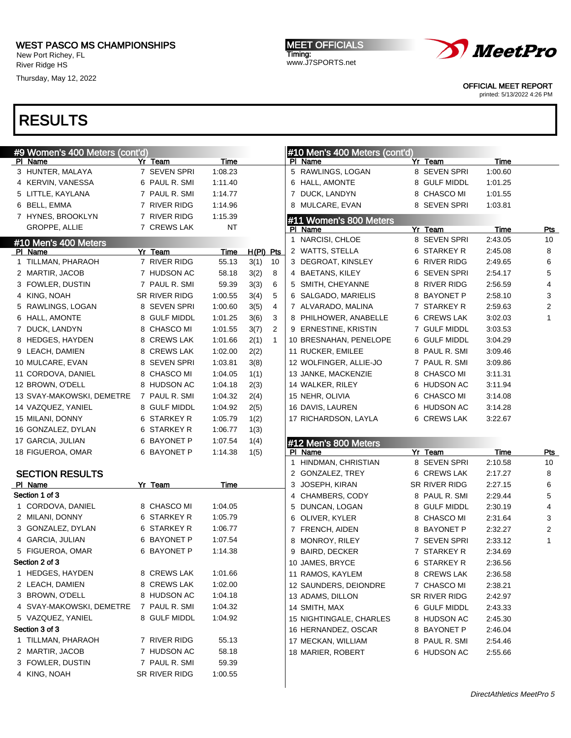New Port Richey, FL River Ridge HS

Thursday, May 12, 2022

MEET OFFICIALS Timing: www.J7SPORTS.net



OFFICIAL MEET REPORT

printed: 5/13/2022 4:26 PM

| #9 Women's 400 Meters (cont'd) |               |         |             |                |   | #10 Men's 400 Meters (cont'd) |    |                  |         |                         |
|--------------------------------|---------------|---------|-------------|----------------|---|-------------------------------|----|------------------|---------|-------------------------|
| PI Name                        | Yr Team       | Time    |             |                |   | PI Name                       |    | Yr Team          | Time    |                         |
| 3 HUNTER, MALAYA               | 7 SEVEN SPRI  | 1:08.23 |             |                |   | 5 RAWLINGS, LOGAN             |    | 8 SEVEN SPRI     | 1:00.60 |                         |
| 4 KERVIN, VANESSA              | 6 PAUL R. SMI | 1:11.40 |             |                |   | 6 HALL, AMONTE                |    | 8 GULF MIDDL     | 1:01.25 |                         |
| 5 LITTLE, KAYLANA              | 7 PAUL R. SMI | 1:14.77 |             |                |   | 7 DUCK, LANDYN                |    | 8 CHASCO MI      | 1:01.55 |                         |
| 6 BELL, EMMA                   | 7 RIVER RIDG  | 1:14.96 |             |                |   | 8 MULCARE, EVAN               |    | 8 SEVEN SPRI     | 1:03.81 |                         |
| 7 HYNES, BROOKLYN              | 7 RIVER RIDG  | 1:15.39 |             |                |   | #11 Women's 800 Meters        |    |                  |         |                         |
| GROPPE, ALLIE                  | 7 CREWS LAK   | NT      |             |                |   | PI Name                       |    | Yr Team          | Time    | <u>Pts</u>              |
| #10 Men's 400 Meters           |               |         |             |                | 1 | NARCISI, CHLOE                |    | 8 SEVEN SPRI     | 2:43.05 | 10                      |
| PI Name                        | Yr Team       | Time    | $H(PI)$ Pts |                |   | 2 WATTS, STELLA               |    | 6 STARKEY R      | 2:45.08 | 8                       |
| 1 TILLMAN, PHARAOH             | 7 RIVER RIDG  | 55.13   | 3(1)        | 10             |   | 3 DEGROAT, KINSLEY            |    | 6 RIVER RIDG     | 2:49.65 | 6                       |
| 2 MARTIR, JACOB                | 7 HUDSON AC   | 58.18   | 3(2)        | 8              |   | 4 BAETANS, KILEY              |    | 6 SEVEN SPRI     | 2:54.17 | 5                       |
| 3 FOWLER, DUSTIN               | 7 PAUL R. SMI | 59.39   | 3(3)        | 6              |   | 5 SMITH, CHEYANNE             |    | 8 RIVER RIDG     | 2:56.59 | 4                       |
| 4 KING, NOAH                   | SR RIVER RIDG | 1:00.55 | 3(4)        | 5              |   | 6 SALGADO, MARIELIS           |    | 8 BAYONET P      | 2:58.10 | 3                       |
| 5 RAWLINGS, LOGAN              | 8 SEVEN SPRI  | 1:00.60 | 3(5)        | 4              |   | 7 ALVARADO, MALINA            |    | 7 STARKEY R      | 2:59.63 | $\overline{\mathbf{c}}$ |
| 6 HALL, AMONTE                 | 8 GULF MIDDL  | 1:01.25 | 3(6)        | 3              |   | 8 PHILHOWER, ANABELLE         | 6. | <b>CREWS LAK</b> | 3:02.03 | $\mathbf{1}$            |
| 7 DUCK, LANDYN                 | 8 CHASCO MI   | 1:01.55 | 3(7)        | $\overline{2}$ |   | 9 ERNESTINE, KRISTIN          |    | 7 GULF MIDDL     | 3:03.53 |                         |
| 8 HEDGES, HAYDEN               | 8 CREWS LAK   | 1:01.66 | 2(1)        | $\mathbf{1}$   |   | 10 BRESNAHAN, PENELOPE        |    | 6 GULF MIDDL     | 3:04.29 |                         |
| 9 LEACH, DAMIEN                | 8 CREWS LAK   | 1:02.00 | 2(2)        |                |   | 11 RUCKER, EMILEE             | 8  | PAUL R. SMI      | 3:09.46 |                         |
| 10 MULCARE, EVAN               | 8 SEVEN SPRI  | 1:03.81 | 3(8)        |                |   | 12 WOLFINGER, ALLIE-JO        |    | 7 PAUL R. SMI    | 3:09.86 |                         |
| 11 CORDOVA, DANIEL             | 8 CHASCO MI   | 1:04.05 | 1(1)        |                |   | 13 JANKE, MACKENZIE           |    | 8 CHASCO MI      | 3:11.31 |                         |
| 12 BROWN, O'DELL               | 8 HUDSON AC   | 1:04.18 | 2(3)        |                |   | 14 WALKER, RILEY              |    | 6 HUDSON AC      | 3:11.94 |                         |
| 13 SVAY-MAKOWSKI, DEMETRE      | 7 PAUL R. SMI | 1:04.32 | 2(4)        |                |   | 15 NEHR, OLIVIA               |    | 6 CHASCO MI      | 3:14.08 |                         |
| 14 VAZQUEZ, YANIEL             | 8 GULF MIDDL  | 1:04.92 | 2(5)        |                |   | 16 DAVIS, LAUREN              |    | 6 HUDSON AC      | 3:14.28 |                         |
| 15 MILANI, DONNY               | 6 STARKEY R   | 1:05.79 | 1(2)        |                |   | 17 RICHARDSON, LAYLA          |    | 6 CREWS LAK      | 3:22.67 |                         |
| 16 GONZALEZ, DYLAN             | 6 STARKEY R   | 1:06.77 | 1(3)        |                |   |                               |    |                  |         |                         |
| 17 GARCIA, JULIAN              | 6 BAYONET P   | 1:07.54 | 1(4)        |                |   | #12 Men's 800 Meters          |    |                  |         |                         |
| 18 FIGUEROA, OMAR              | 6 BAYONET P   | 1:14.38 | 1(5)        |                |   | PI Name                       |    | Yr Team          | Time    | <b>Pts</b>              |
|                                |               |         |             |                | 1 | HINDMAN, CHRISTIAN            |    | 8 SEVEN SPRI     | 2:10.58 | 10                      |
| <b>SECTION RESULTS</b>         |               |         |             |                |   | 2 GONZALEZ, TREY              |    | 6 CREWS LAK      | 2:17.27 | 8                       |
| PI Name                        | Yr Team       | Time    |             |                |   | 3 JOSEPH, KIRAN               |    | SR RIVER RIDG    | 2:27.15 | 6                       |
| Section 1 of 3                 |               |         |             |                |   | 4 CHAMBERS, CODY              |    | 8 PAUL R. SMI    | 2:29.44 | 5                       |
| 1 CORDOVA, DANIEL              | 8 CHASCO MI   | 1:04.05 |             |                |   | 5 DUNCAN, LOGAN               |    | 8 GULF MIDDL     | 2:30.19 | 4                       |
| 2 MILANI, DONNY                | 6 STARKEY R   | 1:05.79 |             |                |   | 6 OLIVER, KYLER               |    | 8 CHASCO MI      | 2:31.64 | 3                       |
| 3 GONZALEZ, DYLAN              | 6 STARKEY R   | 1:06.77 |             |                |   | 7 FRENCH, AIDEN               |    | 8 BAYONET P      | 2:32.27 | 2                       |
| 4 GARCIA, JULIAN               | 6 BAYONET P   | 1:07.54 |             |                |   | 8 MONROY, RILEY               |    | 7 SEVEN SPRI     | 2:33.12 | $\mathbf{1}$            |
| 5 FIGUEROA, OMAR               | 6 BAYONET P   | 1:14.38 |             |                |   | 9 BAIRD, DECKER               |    | 7 STARKEY R      | 2:34.69 |                         |
| Section 2 of 3                 |               |         |             |                |   | 10 JAMES, BRYCE               |    | 6 STARKEY R      | 2:36.56 |                         |
| 1 HEDGES, HAYDEN               | 8 CREWS LAK   | 1:01.66 |             |                |   | 11 RAMOS, KAYLEM              |    | 8 CREWS LAK      | 2:36.58 |                         |
| 2 LEACH, DAMIEN                | 8 CREWS LAK   | 1:02.00 |             |                |   | 12 SAUNDERS, DEIONDRE         |    | 7 CHASCO MI      | 2:38.21 |                         |
| 3 BROWN, O'DELL                | 8 HUDSON AC   | 1:04.18 |             |                |   | 13 ADAMS, DILLON              |    | SR RIVER RIDG    | 2:42.97 |                         |
| 4 SVAY-MAKOWSKI, DEMETRE       | 7 PAUL R. SMI | 1:04.32 |             |                |   | 14 SMITH, MAX                 |    | 6 GULF MIDDL     | 2:43.33 |                         |
| 5 VAZQUEZ, YANIEL              | 8 GULF MIDDL  | 1:04.92 |             |                |   | 15 NIGHTINGALE, CHARLES       |    | 8 HUDSON AC      | 2:45.30 |                         |
| Section 3 of 3                 |               |         |             |                |   | 16 HERNANDEZ, OSCAR           |    | 8 BAYONET P      | 2:46.04 |                         |
| 1 TILLMAN, PHARAOH             | 7 RIVER RIDG  | 55.13   |             |                |   | 17 MECKAN, WILLIAM            |    | 8 PAUL R. SMI    | 2:54.46 |                         |
| 2 MARTIR, JACOB                | 7 HUDSON AC   | 58.18   |             |                |   | 18 MARIER, ROBERT             |    | 6 HUDSON AC      | 2:55.66 |                         |
| 3 FOWLER, DUSTIN               | 7 PAUL R. SMI | 59.39   |             |                |   |                               |    |                  |         |                         |
| 4 KING, NOAH                   | SR RIVER RIDG | 1:00.55 |             |                |   |                               |    |                  |         |                         |
|                                |               |         |             |                |   |                               |    |                  |         |                         |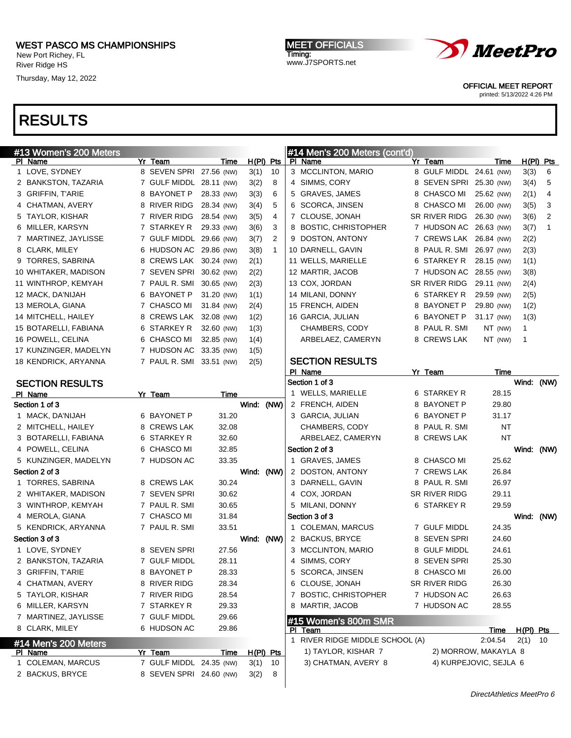#### WEST PASCO MS CHAMPIONSHIPS New Port Richey, FL

River Ridge HS

Thursday, May 12, 2022

MEET OFFICIALS Timing: www.J7SPORTS.net



OFFICIAL MEET REPORT

printed: 5/13/2022 4:26 PM

| #13 Women's 200 Meters                |                              |                |            |              | #14 Men's 200 Meters (cont'd)        |                              |                        |           |            |
|---------------------------------------|------------------------------|----------------|------------|--------------|--------------------------------------|------------------------------|------------------------|-----------|------------|
| PI Name                               | Yr Team                      | <u>Time</u>    |            | $H(PI)$ Pts  | PI Name                              | Yr Team                      | Time                   |           | H(PI) Pts  |
| 1 LOVE, SYDNEY                        | 8 SEVEN SPRI 27.56 (NW)      |                | 3(1)       | 10           | 3 MCCLINTON, MARIO                   | 8 GULF MIDDL 24.61 (NW)      |                        | 3(3)      | 6          |
| 2 BANKSTON, TAZARIA                   | 7 GULF MIDDL 28.11 (NW)      |                | 3(2)       | 8            | 4 SIMMS, CORY                        | 8 SEVEN SPRI 25.30 (NW)      |                        | 3(4)      | 5          |
| 3 GRIFFIN, T'ARIE                     | 8 BAYONET P                  | 28.33 (NW)     | 3(3)       | 6            | 5 GRAVES, JAMES                      | 8 CHASCO MI                  | 25.62 (NW)             | 2(1)      | 4          |
| 4 CHATMAN, AVERY                      | 8 RIVER RIDG                 | 28.34 (NW)     | 3(4)       | 5            | 6 SCORCA, JINSEN                     | 8 CHASCO MI                  | 26.00 (NW)             | 3(5)      | 3          |
| 5 TAYLOR, KISHAR                      | 7 RIVER RIDG                 | 28.54 (NW)     | 3(5)       | 4            | 7 CLOUSE, JONAH                      | SR RIVER RIDG                | 26.30 (NW)             | 3(6)      | 2          |
| 6 MILLER, KARSYN                      | 7 STARKEY R                  | 29.33 (NW)     | 3(6)       | 3            | 8 BOSTIC, CHRISTOPHER                | 7 HUDSON AC 26.63 (NW)       |                        | 3(7)      | 1          |
| 7 MARTINEZ, JAYLISSE                  | 7 GULF MIDDL 29.66 (NW)      |                | 3(7)       | 2            | 9 DOSTON, ANTONY                     | 7 CREWS LAK 26.84 (NW)       |                        | 2(2)      |            |
| 8 CLARK, MILEY                        | 6 HUDSON AC 29.86 (NW)       |                | 3(8)       | $\mathbf{1}$ | 10 DARNELL, GAVIN                    | 8 PAUL R. SMI                | 26.97 (NW)             | 2(3)      |            |
| 9 TORRES, SABRINA                     | 8 CREWS LAK 30.24 (NW)       |                | 2(1)       |              | 11 WELLS, MARIELLE                   | 6 STARKEY R                  | 28.15 (NW)             | 1(1)      |            |
| 10 WHITAKER, MADISON                  | 7 SEVEN SPRI                 | 30.62 (NW)     | 2(2)       |              | 12 MARTIR, JACOB                     | 7 HUDSON AC 28.55 (NW)       |                        | 3(8)      |            |
| 11 WINTHROP, KEMYAH                   | 7 PAUL R. SMI                | 30.65 (NW)     | 2(3)       |              | 13 COX, JORDAN                       | SR RIVER RIDG                | 29.11 (NW)             | 2(4)      |            |
| 12 MACK, DA'NIJAH                     | 6 BAYONET P                  | 31.20 (NW)     | 1(1)       |              | 14 MILANI, DONNY                     | 6 STARKEY R                  | 29.59 (NW)             | 2(5)      |            |
| 13 MEROLA, GIANA                      | 7 CHASCO MI                  | 31.84 (NW)     | 2(4)       |              | 15 FRENCH, AIDEN                     | 8 BAYONET P                  | 29.80 (NW)             | 1(2)      |            |
| 14 MITCHELL, HAILEY                   | 8 CREWS LAK 32.08 (NW)       |                | 1(2)       |              | 16 GARCIA, JULIAN                    | 6 BAYONET P                  | 31.17 (NW)             | 1(3)      |            |
| 15 BOTARELLI, FABIANA                 | 6 STARKEY R                  | 32.60 (NW)     | 1(3)       |              | CHAMBERS, CODY                       | 8 PAUL R. SMI                | NT (NW)                | 1         |            |
| 16 POWELL, CELINA                     | 6 CHASCO MI                  | 32.85 (NW)     | 1(4)       |              | ARBELAEZ, CAMERYN                    | 8 CREWS LAK                  | NT (NW)                | 1         |            |
| 17 KUNZINGER, MADELYN                 | 7 HUDSON AC                  | 33.35 (NW)     | 1(5)       |              |                                      |                              |                        |           |            |
| 18 KENDRICK, ARYANNA                  | 7 PAUL R. SMI 33.51 (NW)     |                | 2(5)       |              | <b>SECTION RESULTS</b>               |                              |                        |           |            |
|                                       |                              |                |            |              | PI Name                              | Yr Team                      | Time                   |           |            |
| <b>SECTION RESULTS</b>                |                              |                |            |              | Section 1 of 3                       |                              |                        |           | Wind: (NW) |
| PI Name                               | Yr Team                      | Time           |            |              | 1 WELLS, MARIELLE                    | 6 STARKEY R                  | 28.15                  |           |            |
| Section 1 of 3                        |                              |                | Wind: (NW) |              | 2 FRENCH, AIDEN                      | 8 BAYONET P                  | 29.80                  |           |            |
| 1 MACK, DA'NIJAH                      | 6 BAYONET P                  | 31.20          |            |              | 3 GARCIA, JULIAN                     | 6 BAYONET P                  | 31.17                  |           |            |
| 2 MITCHELL, HAILEY                    | 8 CREWS LAK                  | 32.08          |            |              | CHAMBERS, CODY                       | 8 PAUL R. SMI                | <b>NT</b>              |           |            |
| 3 BOTARELLI, FABIANA                  | 6 STARKEY R                  | 32.60          |            |              | ARBELAEZ, CAMERYN                    | 8 CREWS LAK                  | <b>NT</b>              |           |            |
| 4 POWELL, CELINA                      | 6 CHASCO MI                  | 32.85          |            |              | Section 2 of 3                       |                              |                        |           | Wind: (NW) |
| 5 KUNZINGER, MADELYN                  | 7 HUDSON AC                  | 33.35          |            |              | 1 GRAVES, JAMES                      | 8 CHASCO MI                  | 25.62                  |           |            |
| Section 2 of 3                        | 8 CREWS LAK                  | 30.24          | Wind:      | (NW)         | 2 DOSTON, ANTONY<br>3 DARNELL, GAVIN | 7 CREWS LAK                  | 26.84                  |           |            |
| 1 TORRES, SABRINA                     |                              |                |            |              |                                      | 8 PAUL R. SMI                | 26.97                  |           |            |
| 2 WHITAKER, MADISON                   | 7 SEVEN SPRI                 | 30.62          |            |              | 4 COX, JORDAN                        | SR RIVER RIDG                | 29.11                  |           |            |
| 3 WINTHROP, KEMYAH                    | 7 PAUL R. SMI<br>7 CHASCO MI | 30.65          |            |              | 5 MILANI, DONNY                      | 6 STARKEY R                  | 29.59                  |           |            |
| 4 MEROLA, GIANA                       | 7 PAUL R. SMI                | 31.84<br>33.51 |            |              | Section 3 of 3<br>1 COLEMAN, MARCUS  |                              | 24.35                  |           | Wind: (NW) |
| 5 KENDRICK, ARYANNA<br>Section 3 of 3 |                              |                | Wind: (NW) |              | 2 BACKUS, BRYCE                      | 7 GULF MIDDL<br>8 SEVEN SPRI | 24.60                  |           |            |
| 1 LOVE, SYDNEY                        | 8 SEVEN SPRI                 | 27.56          |            |              | 3 MCCLINTON, MARIO                   | 8 GULF MIDDL                 | 24.61                  |           |            |
| 2 BANKSTON, TAZARIA                   | 7 GULF MIDDL                 | 28.11          |            |              | 4 SIMMS, CORY                        | 8 SEVEN SPRI                 | 25.30                  |           |            |
| 3 GRIFFIN, T'ARIE                     | 8 BAYONET P                  | 28.33          |            |              | 5 SCORCA, JINSEN                     | 8 CHASCO MI                  | 26.00                  |           |            |
| 4 CHATMAN, AVERY                      | 8 RIVER RIDG                 | 28.34          |            |              | 6 CLOUSE, JONAH                      | SR RIVER RIDG                | 26.30                  |           |            |
|                                       |                              |                |            |              |                                      |                              |                        |           |            |
| 5 TAYLOR, KISHAR                      | 7 RIVER RIDG<br>7 STARKEY R  | 28.54          |            |              | 7 BOSTIC, CHRISTOPHER                | 7 HUDSON AC                  | 26.63                  |           |            |
| 6 MILLER, KARSYN                      | 7 GULF MIDDL                 | 29.33          |            |              | 8 MARTIR, JACOB                      | 7 HUDSON AC                  | 28.55                  |           |            |
| 7 MARTINEZ, JAYLISSE                  |                              | 29.66          |            |              | #15 Women's 800m SMR                 |                              |                        |           |            |
| 8 CLARK, MILEY                        | 6 HUDSON AC                  | 29.86          |            |              | PI Team                              |                              | <u>Time</u>            | H(PI) Pts |            |
| #14 Men's 200 Meters                  |                              |                |            |              | 1 RIVER RIDGE MIDDLE SCHOOL (A)      |                              | 2:04.54                | 2(1)      | 10         |
| PI Name                               | Yr Team                      | <u>Time</u>    |            | $H(PI)$ Pts  | 1) TAYLOR, KISHAR 7                  |                              | 2) MORROW, MAKAYLA 8   |           |            |
| 1 COLEMAN, MARCUS                     | 7 GULF MIDDL 24.35 (NW)      |                | 3(1)       | 10           | 3) CHATMAN, AVERY 8                  |                              | 4) KURPEJOVIC, SEJLA 6 |           |            |
| 2 BACKUS, BRYCE                       | 8 SEVEN SPRI 24.60 (NW)      |                | 3(2)       | 8            |                                      |                              |                        |           |            |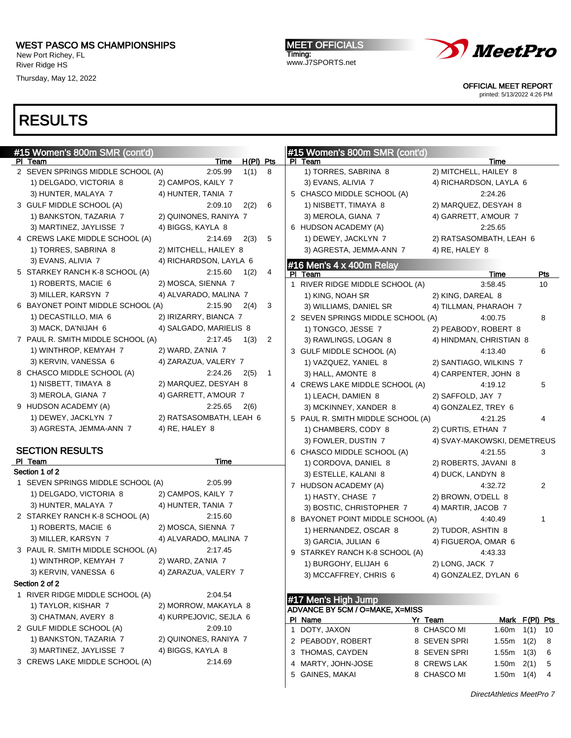New Port Richey, FL River Ridge HS

Thursday, May 12, 2022

MEET OFFICIALS Timing: www.J7SPORTS.net



OFFICIAL MEET REPORT

printed: 5/13/2022 4:26 PM

| #15 Women's 800m SMR (cont'd)                         |                               |                        |   | #15 Women's 800m SMR (cont'd)          |         |                             |                   |      |     |
|-------------------------------------------------------|-------------------------------|------------------------|---|----------------------------------------|---------|-----------------------------|-------------------|------|-----|
| PI Team                                               | <b>Time</b>                   | $H(PI)$ Pts            |   | PI Team                                |         |                             | Time              |      |     |
| 2 SEVEN SPRINGS MIDDLE SCHOOL (A)                     | 2:05.99                       | 1(1) 8                 |   | 1) TORRES, SABRINA 8                   |         | 2) MITCHELL, HAILEY 8       |                   |      |     |
| 1) DELGADO, VICTORIA 8                                | 2) CAMPOS, KAILY 7            |                        |   | 3) EVANS, ALIVIA 7                     |         | 4) RICHARDSON, LAYLA 6      |                   |      |     |
| 3) HUNTER, MALAYA 7                                   | 4) HUNTER, TANIA 7            |                        |   | 5 CHASCO MIDDLE SCHOOL (A)             |         |                             | 2:24.26           |      |     |
| 3 GULF MIDDLE SCHOOL (A)                              | 2:09.10                       | 6<br>2(2)              |   | 1) NISBETT, TIMAYA 8                   |         | 2) MARQUEZ, DESYAH 8        |                   |      |     |
| 1) BANKSTON, TAZARIA 7                                | 2) QUINONES, RANIYA 7         |                        |   | 3) MEROLA, GIANA 7                     |         | 4) GARRETT, A'MOUR 7        |                   |      |     |
| 3) MARTINEZ, JAYLISSE 7                               | 4) BIGGS, KAYLA 8             |                        |   | 6 HUDSON ACADEMY (A)                   |         |                             | 2:25.65           |      |     |
| 4 CREWS LAKE MIDDLE SCHOOL (A)                        | 2:14.69                       | 5<br>2(3)              |   | 1) DEWEY, JACKLYN 7                    |         | 2) RATSASOMBATH, LEAH 6     |                   |      |     |
| 1) TORRES, SABRINA 8                                  | 2) MITCHELL, HAILEY 8         |                        |   | 3) AGRESTA, JEMMA-ANN 7                |         | 4) RE, HALEY 8              |                   |      |     |
| 3) EVANS, ALIVIA 7                                    | 4) RICHARDSON, LAYLA 6        |                        |   | #16 Men's 4 x 400m Relay               |         |                             |                   |      |     |
| 5 STARKEY RANCH K-8 SCHOOL (A)                        | 2:15.60                       | 1(2)                   | 4 | PI Team                                |         |                             | Time              |      | Pts |
| 1) ROBERTS, MACIE 6                                   | 2) MOSCA, SIENNA 7            |                        |   | 1 RIVER RIDGE MIDDLE SCHOOL (A)        |         |                             | 3:58.45           |      | 10  |
| 3) MILLER, KARSYN 7                                   | 4) ALVARADO, MALINA 7         |                        |   | 1) KING, NOAH SR                       |         | 2) KING, DAREAL 8           |                   |      |     |
| 6 BAYONET POINT MIDDLE SCHOOL (A)                     | 2:15.90                       | 2(4)<br>3              |   | 3) WILLIAMS, DANIEL SR                 |         | 4) TILLMAN, PHARAOH 7       |                   |      |     |
| 1) DECASTILLO, MIA 6                                  | 2) IRIZARRY, BIANCA 7         |                        |   | 2 SEVEN SPRINGS MIDDLE SCHOOL (A)      |         |                             | 4:00.75           |      | 8   |
| 3) MACK, DA'NIJAH 6                                   | 4) SALGADO, MARIELIS 8        |                        |   | 1) TONGCO, JESSE 7                     |         | 2) PEABODY, ROBERT 8        |                   |      |     |
| 7 PAUL R. SMITH MIDDLE SCHOOL (A)                     | 2:17.45                       | 1(3)<br>2              |   | 3) RAWLINGS, LOGAN 8                   |         | 4) HINDMAN, CHRISTIAN 8     |                   |      |     |
| 1) WINTHROP, KEMYAH 7                                 | 2) WARD, ZA'NIA 7             |                        |   | 3 GULF MIDDLE SCHOOL (A)               |         |                             | 4:13.40           |      | 6   |
| 3) KERVIN, VANESSA 6                                  | 4) ZARAZUA, VALERY 7          |                        |   | 1) VAZQUEZ, YANIEL 8                   |         | 2) SANTIAGO, WILKINS 7      |                   |      |     |
| 8 CHASCO MIDDLE SCHOOL (A)                            | 2:24.26                       | 2(5)<br>$\overline{1}$ |   | 3) HALL, AMONTE 8                      |         | 4) CARPENTER, JOHN 8        |                   |      |     |
| 1) NISBETT, TIMAYA 8                                  | 2) MARQUEZ, DESYAH 8          |                        |   | 4 CREWS LAKE MIDDLE SCHOOL (A)         |         |                             | 4:19.12           |      | 5   |
| 3) MEROLA, GIANA 7                                    | 4) GARRETT, A'MOUR 7          |                        |   | 1) LEACH, DAMIEN 8                     |         | 2) SAFFOLD, JAY 7           |                   |      |     |
| 9 HUDSON ACADEMY (A)                                  | 2:25.65                       | 2(6)                   |   | 3) MCKINNEY, XANDER 8                  |         | 4) GONZALEZ, TREY 6         |                   |      |     |
| 1) DEWEY, JACKLYN 7                                   | 2) RATSASOMBATH, LEAH 6       |                        |   | 5 PAUL R. SMITH MIDDLE SCHOOL (A)      |         |                             | 4:21.25           |      | 4   |
| 3) AGRESTA, JEMMA-ANN 7                               | 4) RE, HALEY 8                |                        |   | 1) CHAMBERS, CODY 8                    |         | 2) CURTIS, ETHAN 7          |                   |      |     |
|                                                       |                               |                        |   | 3) FOWLER, DUSTIN 7                    |         | 4) SVAY-MAKOWSKI, DEMETREUS |                   |      |     |
| <b>SECTION RESULTS</b>                                |                               |                        |   | 6 CHASCO MIDDLE SCHOOL (A)             |         |                             | 4:21.55           |      | 3   |
| PI Team                                               | Time                          |                        |   | 1) CORDOVA, DANIEL 8                   |         | 2) ROBERTS, JAVANI 8        |                   |      |     |
| Section 1 of 2                                        |                               |                        |   | 3) ESTELLE, KALANI 8                   |         | 4) DUCK, LANDYN 8           |                   |      |     |
| 1 SEVEN SPRINGS MIDDLE SCHOOL (A)                     | 2:05.99                       |                        |   | 7 HUDSON ACADEMY (A)                   |         |                             | 4:32.72           |      | 2   |
| 1) DELGADO, VICTORIA 8                                | 2) CAMPOS, KAILY 7            |                        |   | 1) HASTY, CHASE 7                      |         | 2) BROWN, O'DELL 8          |                   |      |     |
| 3) HUNTER, MALAYA 7<br>2 STARKEY RANCH K-8 SCHOOL (A) | 4) HUNTER, TANIA 7            |                        |   | 3) BOSTIC, CHRISTOPHER 7               |         | 4) MARTIR, JACOB 7          |                   |      |     |
| 1) ROBERTS, MACIE 6                                   | 2:15.60<br>2) MOSCA, SIENNA 7 |                        |   | 8 BAYONET POINT MIDDLE SCHOOL (A)      |         |                             | 4:40.49           |      | 1   |
| 3) MILLER, KARSYN 7                                   | 4) ALVARADO, MALINA 7         |                        |   | 1) HERNANDEZ, OSCAR 8                  |         | 2) TUDOR, ASHTIN 8          |                   |      |     |
| 3 PAUL R. SMITH MIDDLE SCHOOL (A)                     | 2:17.45                       |                        |   | 3) GARCIA, JULIAN 6                    |         | 4) FIGUEROA, OMAR 6         |                   |      |     |
| 1) WINTHROP, KEMYAH 7                                 | 2) WARD, ZA'NIA 7             |                        |   | 9 STARKEY RANCH K-8 SCHOOL (A)         |         |                             | 4:43.33           |      |     |
| 3) KERVIN, VANESSA 6                                  | 4) ZARAZUA, VALERY 7          |                        |   | 1) BURGOHY, ELIJAH 6                   |         | 2) LONG, JACK 7             |                   |      |     |
| Section 2 of 2                                        |                               |                        |   | 3) MCCAFFREY, CHRIS 6                  |         | 4) GONZALEZ, DYLAN 6        |                   |      |     |
| 1 RIVER RIDGE MIDDLE SCHOOL (A)                       | 2:04.54                       |                        |   |                                        |         |                             |                   |      |     |
| 1) TAYLOR, KISHAR 7                                   | 2) MORROW, MAKAYLA 8          |                        |   | #17 Men's High Jump                    |         |                             |                   |      |     |
| 3) CHATMAN, AVERY 8                                   | 4) KURPEJOVIC, SEJLA 6        |                        |   | <b>ADVANCE BY 5CM / O=MAKE, X=MISS</b> |         |                             |                   |      |     |
| 2 GULF MIDDLE SCHOOL (A)                              | 2:09.10                       |                        |   | PI Name                                | Yr Team |                             | Mark F(PI) Pts    |      |     |
| 1) BANKSTON, TAZARIA 7                                | 2) QUINONES, RANIYA 7         |                        |   | 1 DOTY, JAXON                          |         | 8 CHASCO MI                 | $1.60m$ $1(1)$ 10 |      |     |
| 3) MARTINEZ, JAYLISSE 7                               | 4) BIGGS, KAYLA 8             |                        |   | 2 PEABODY, ROBERT                      |         | 8 SEVEN SPRI                | 1.55 $m$ 1(2)     |      | - 8 |
| 3 CREWS LAKE MIDDLE SCHOOL (A)                        | 2:14.69                       |                        |   | 3 THOMAS, CAYDEN                       |         | 8 SEVEN SPRI                | $1.55m$ $1(3)$    |      | 6   |
|                                                       |                               |                        |   | 4 MARTY, JOHN-JOSE                     |         | 8 CREWS LAK<br>8 CHASCO MI  | 1.50m             | 2(1) | 5   |
|                                                       |                               |                        |   | 5 GAINES, MAKAI                        |         |                             | 1.50m $1(4)$ 4    |      |     |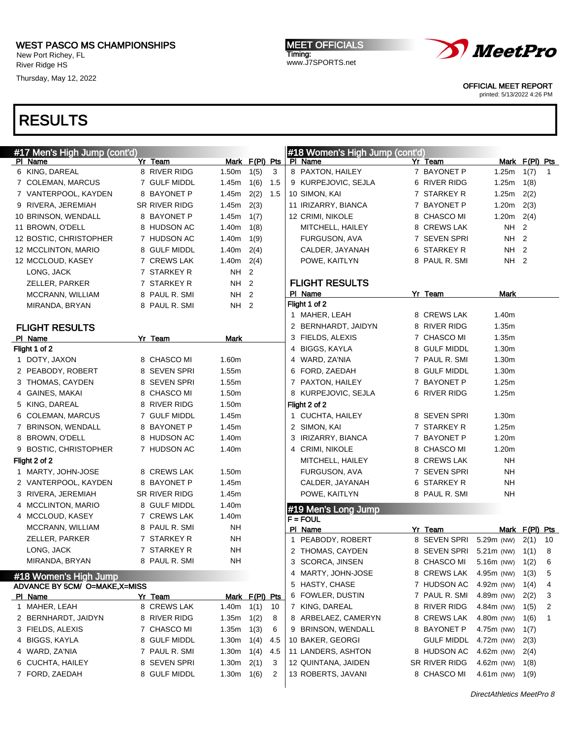New Port Richey, FL River Ridge HS

Thursday, May 12, 2022

MEET OFFICIALS Timing: www.J7SPORTS.net



OFFICIAL MEET REPORT

printed: 5/13/2022 4:26 PM

| #17 Men's High Jump (cont'd)              |               |                   |                |     |              | #18 Women's High Jump (cont'd) |                   |                     |                |              |
|-------------------------------------------|---------------|-------------------|----------------|-----|--------------|--------------------------------|-------------------|---------------------|----------------|--------------|
| PI Name                                   | Yr Team       |                   | Mark F(PI) Pts |     |              | PI Name                        | Yr Team           |                     | Mark F(PI) Pts |              |
| 6 KING, DAREAL                            | 8 RIVER RIDG  | 1.50m             | 1(5)           | 3   |              | 8 PAXTON, HAILEY               | 7 BAYONET P       | 1.25m               | 1(7)           | $\mathbf{1}$ |
| 7 COLEMAN, MARCUS                         | 7 GULF MIDDL  | 1.45m             | 1(6)           | 1.5 |              | 9 KURPEJOVIC, SEJLA            | 6 RIVER RIDG      | 1.25m               | 1(8)           |              |
| 7 VANTERPOOL, KAYDEN                      | 8 BAYONET P   | 1.45m             | 2(2)           | 1.5 |              | 10 SIMON, KAI                  | 7 STARKEY R       | 1.25m               | 2(2)           |              |
| 9 RIVERA, JEREMIAH                        | SR RIVER RIDG | 1.45m             | 2(3)           |     |              | 11 IRIZARRY, BIANCA            | 7 BAYONET P       | 1.20m               | 2(3)           |              |
| 10 BRINSON, WENDALL                       | 8 BAYONET P   | 1.45m             | 1(7)           |     |              | 12 CRIMI, NIKOLE               | 8 CHASCO MI       | 1.20m               | 2(4)           |              |
| 11 BROWN, O'DELL                          | 8 HUDSON AC   | 1.40m             | 1(8)           |     |              | MITCHELL, HAILEY               | 8 CREWS LAK       | NΗ                  | $\overline{2}$ |              |
| 12 BOSTIC, CHRISTOPHER                    | 7 HUDSON AC   | 1.40m             | 1(9)           |     |              | FURGUSON, AVA                  | 7 SEVEN SPRI      | NH                  | $\overline{2}$ |              |
| 12 MCCLINTON, MARIO                       | 8 GULF MIDDL  | 1.40m             | 2(4)           |     |              | CALDER, JAYANAH                | 6 STARKEY R       | NH <sub>2</sub>     |                |              |
| 12 MCCLOUD, KASEY                         | 7 CREWS LAK   | 1.40 $m$ 2(4)     |                |     |              | POWE, KAITLYN                  | 8 PAUL R. SMI     | NH 2                |                |              |
| LONG, JACK                                | 7 STARKEY R   | NH 2              |                |     |              |                                |                   |                     |                |              |
| ZELLER, PARKER                            | 7 STARKEY R   | NH <sub>2</sub>   |                |     |              | <b>FLIGHT RESULTS</b>          |                   |                     |                |              |
| MCCRANN, WILLIAM                          | 8 PAUL R. SMI | NH 2              |                |     |              | PI Name                        | Yr Team           | Mark                |                |              |
| MIRANDA, BRYAN                            | 8 PAUL R. SMI | NH 2              |                |     |              | Flight 1 of 2                  |                   |                     |                |              |
|                                           |               |                   |                |     |              | 1 MAHER, LEAH                  | 8 CREWS LAK       | 1.40m               |                |              |
| <b>FLIGHT RESULTS</b>                     |               |                   |                |     |              | 2 BERNHARDT, JAIDYN            | 8 RIVER RIDG      | 1.35m               |                |              |
| PI Name                                   | Yr Team       | <b>Mark</b>       |                |     |              | 3 FIELDS, ALEXIS               | 7 CHASCO MI       | 1.35m               |                |              |
| Flight 1 of 2                             |               |                   |                |     |              | 4 BIGGS, KAYLA                 | 8 GULF MIDDL      | 1.30m               |                |              |
| 1 DOTY, JAXON                             | 8 CHASCO MI   | 1.60m             |                |     |              | 4 WARD, ZA'NIA                 | 7 PAUL R. SMI     | 1.30m               |                |              |
| 2 PEABODY, ROBERT                         | 8 SEVEN SPRI  | 1.55m             |                |     |              | 6 FORD, ZAEDAH                 | 8 GULF MIDDL      | 1.30m               |                |              |
| 3 THOMAS, CAYDEN                          | 8 SEVEN SPRI  | 1.55m             |                |     |              | 7 PAXTON, HAILEY               | 7 BAYONET P       | 1.25m               |                |              |
| 4 GAINES, MAKAI                           | 8 CHASCO MI   | 1.50m             |                |     |              | 8 KURPEJOVIC, SEJLA            | 6 RIVER RIDG      | 1.25m               |                |              |
| 5 KING, DAREAL                            | 8 RIVER RIDG  | 1.50m             |                |     |              | Flight 2 of 2                  |                   |                     |                |              |
| 6 COLEMAN, MARCUS                         | 7 GULF MIDDL  | 1.45m             |                |     |              | 1 CUCHTA, HAILEY               | 8 SEVEN SPRI      | 1.30m               |                |              |
| 7 BRINSON, WENDALL                        | 8 BAYONET P   | 1.45m             |                |     |              | 2 SIMON, KAI                   | 7 STARKEY R       | 1.25m               |                |              |
| 8 BROWN, O'DELL                           | 8 HUDSON AC   | 1.40m             |                |     |              | 3 IRIZARRY, BIANCA             | 7 BAYONET P       | 1.20m               |                |              |
| 9 BOSTIC, CHRISTOPHER                     | 7 HUDSON AC   | 1.40m             |                |     |              | 4 CRIMI, NIKOLE                | 8 CHASCO MI       | 1.20m               |                |              |
| Flight 2 of 2                             |               |                   |                |     |              | MITCHELL, HAILEY               | 8 CREWS LAK       | NΗ                  |                |              |
| 1 MARTY, JOHN-JOSE                        | 8 CREWS LAK   | 1.50m             |                |     |              | FURGUSON, AVA                  | 7 SEVEN SPRI      | NΗ                  |                |              |
| 2 VANTERPOOL, KAYDEN                      | 8 BAYONET P   | 1.45m             |                |     |              | CALDER, JAYANAH                | 6 STARKEY R       | <b>NH</b>           |                |              |
| 3 RIVERA, JEREMIAH                        | SR RIVER RIDG | 1.45m             |                |     |              | POWE, KAITLYN                  | 8 PAUL R. SMI     | NΗ                  |                |              |
| 4 MCCLINTON, MARIO                        | 8 GULF MIDDL  | 1.40m             |                |     |              | #19 Men's Long Jump            |                   |                     |                |              |
| 4 MCCLOUD, KASEY                          | 7 CREWS LAK   | 1.40m             |                |     |              | $F = FOUL$                     |                   |                     |                |              |
| MCCRANN, WILLIAM                          | 8 PAUL R. SMI | NΗ                |                |     |              | PI Name                        | Yr Team           |                     | Mark F(PI) Pts |              |
| ZELLER, PARKER                            | 7 STARKEY R   | NΗ                |                |     | $\mathbf{1}$ | PEABODY, ROBERT                | 8 SEVEN SPRI      | 5.29m (NW)          | 2(1)           | 10           |
| LONG, JACK                                | 7 STARKEY R   | NΗ                |                |     |              | 2 THOMAS, CAYDEN               | 8 SEVEN SPRI      | $5.21m$ (NW) $1(1)$ |                | 8            |
| MIRANDA, BRYAN                            | 8 PAUL R. SMI | NΗ                |                |     |              | 3 SCORCA, JINSEN               | 8 CHASCO MI       | 5.16m (NW) 1(2) 6   |                |              |
|                                           |               |                   |                |     |              | 4 MARTY, JOHN-JOSE             | 8 CREWS LAK       | 4.95m (NW)          | 1(3)           | 5            |
| #18 Women's High Jump                     |               |                   |                |     |              | 5 HASTY, CHASE                 | 7 HUDSON AC       | 4.92m (NW)          | 1(4)           | 4            |
| ADVANCE BY 5CM/ O=MAKE, X=MISS<br>PI Name | Yr Team       |                   | Mark F(PI) Pts |     |              | 6 FOWLER, DUSTIN               | 7 PAUL R. SMI     | 4.89m (NW)          | 2(2)           | 3            |
| 1 MAHER, LEAH                             | 8 CREWS LAK   | 1.40m             | 1(1)           | 10  |              | 7 KING, DAREAL                 | 8 RIVER RIDG      | 4.84m (NW)          | 1(5)           | 2            |
| 2 BERNHARDT, JAIDYN                       | 8 RIVER RIDG  | 1.35m             | 1(2)           | 8   |              | 8 ARBELAEZ, CAMERYN            | 8 CREWS LAK       | 4.80m (NW)          | 1(6)           | 1            |
| 3 FIELDS, ALEXIS                          | 7 CHASCO MI   | 1.35m             | 1(3)           | 6   |              | 9 BRINSON, WENDALL             | 8 BAYONET P       | 4.75m (NW)          | 1(7)           |              |
| 4 BIGGS, KAYLA                            | 8 GULF MIDDL  | 1.30m             | 1(4)           | 4.5 |              | 10 BAKER, GEORGI               | <b>GULF MIDDL</b> | 4.72m (NW)          | 2(3)           |              |
| 4 WARD, ZA'NIA                            | 7 PAUL R. SMI | 1.30m             | 1(4)           | 4.5 |              | 11 LANDERS, ASHTON             | 8 HUDSON AC       | 4.62m (NW)          | 2(4)           |              |
| 6 CUCHTA, HAILEY                          | 8 SEVEN SPRI  | 1.30 <sub>m</sub> | 2(1)           | 3   |              | 12 QUINTANA, JAIDEN            | SR RIVER RIDG     | 4.62m (NW)          | 1(8)           |              |
| 7 FORD, ZAEDAH                            | 8 GULF MIDDL  | 1.30 <sub>m</sub> | 1(6)           | 2   |              | 13 ROBERTS, JAVANI             | 8 CHASCO MI       | 4.61m (NW)          | 1(9)           |              |
|                                           |               |                   |                |     |              |                                |                   |                     |                |              |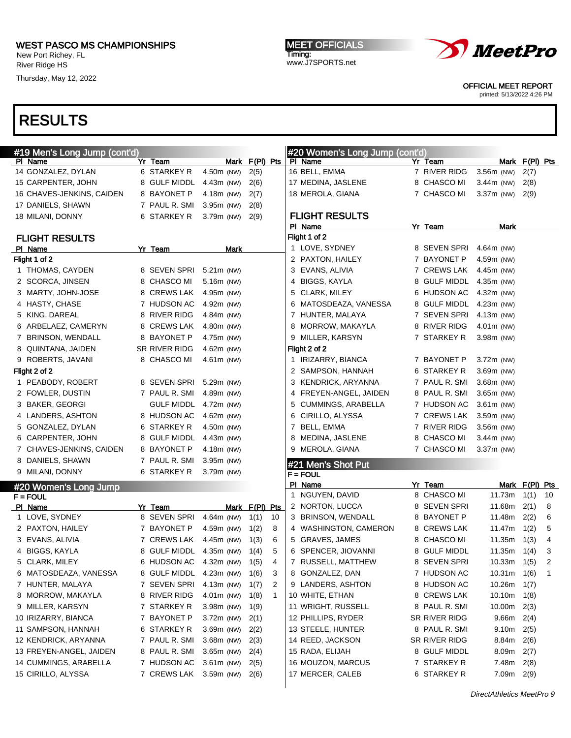New Port Richey, FL River Ridge HS

Thursday, May 12, 2022

MEET OFFICIALS Timing: www.J7SPORTS.net



OFFICIAL MEET REPORT

printed: 5/13/2022 4:26 PM

| #19 Men's Long Jump (cont'd) |                         |              |                      | #20 Women's Long Jump (cont'd) |                        |                 |                |              |
|------------------------------|-------------------------|--------------|----------------------|--------------------------------|------------------------|-----------------|----------------|--------------|
| PI Name                      | Yr Team                 |              | Mark F(PI) Pts       | PI Name                        | Yr Team                |                 | Mark F(PI) Pts |              |
| 14 GONZALEZ, DYLAN           | 6 STARKEY R             | 4.50m (NW)   | 2(5)                 | 16 BELL, EMMA                  | 7 RIVER RIDG           | 3.56m (NW)      | 2(7)           |              |
| 15 CARPENTER, JOHN           | 8 GULF MIDDL            | $4.43m$ (NW) | 2(6)                 | 17 MEDINA, JASLENE             | 8 CHASCO MI            | $3.44m$ (NW)    | 2(8)           |              |
| 16 CHAVES-JENKINS, CAIDEN    | 8 BAYONET P             | 4.18m (NW)   | 2(7)                 | 18 MEROLA, GIANA               | 7 CHASCO MI            | 3.37m (NW)      | 2(9)           |              |
| 17 DANIELS, SHAWN            | 7 PAUL R. SMI           | $3.95m$ (NW) | 2(8)                 |                                |                        |                 |                |              |
| 18 MILANI, DONNY             | 6 STARKEY R             | $3.79m$ (NW) | 2(9)                 | <b>FLIGHT RESULTS</b>          |                        |                 |                |              |
|                              |                         |              |                      | PI Name                        | Yr Team                | Mark            |                |              |
| <b>FLIGHT RESULTS</b>        |                         |              |                      | Flight 1 of 2                  |                        |                 |                |              |
| PI Name                      | Yr Team                 | Mark         |                      | 1 LOVE, SYDNEY                 | 8 SEVEN SPRI           | 4.64m (NW)      |                |              |
| Flight 1 of 2                |                         |              |                      | 2 PAXTON, HAILEY               | 7 BAYONET P            | 4.59m (NW)      |                |              |
| 1 THOMAS, CAYDEN             | 8 SEVEN SPRI            | 5.21m (NW)   |                      | 3 EVANS, ALIVIA                | 7 CREWS LAK            | 4.45m (NW)      |                |              |
| 2 SCORCA, JINSEN             | 8 CHASCO MI             | 5.16m (NW)   |                      | 4 BIGGS, KAYLA                 | <b>GULF MIDDL</b><br>8 | 4.35 $m$ (NW)   |                |              |
| 3 MARTY, JOHN-JOSE           | 8 CREWS LAK             | 4.95m (NW)   |                      | 5 CLARK, MILEY                 | <b>HUDSON AC</b><br>6  | 4.32m (NW)      |                |              |
| 4 HASTY, CHASE               | 7 HUDSON AC             | 4.92m (NW)   |                      | 6 MATOSDEAZA, VANESSA          | <b>GULF MIDDL</b><br>8 | $4.23m$ (NW)    |                |              |
| 5 KING, DAREAL               | 8 RIVER RIDG            | 4.84m (NW)   |                      | 7 HUNTER, MALAYA               | 7 SEVEN SPRI           | $4.13m$ (NW)    |                |              |
| 6 ARBELAEZ, CAMERYN          | 8 CREWS LAK             | 4.80m (NW)   |                      | 8 MORROW, MAKAYLA              | 8 RIVER RIDG           | 4.01m (NW)      |                |              |
| 7 BRINSON, WENDALL           | 8 BAYONET P             | 4.75m (NW)   |                      | 9 MILLER, KARSYN               | 7 STARKEY R            | 3.98m (NW)      |                |              |
| 8 QUINTANA, JAIDEN           | SR RIVER RIDG           | 4.62m (NW)   |                      | Flight 2 of 2                  |                        |                 |                |              |
| 9 ROBERTS, JAVANI            | 8 CHASCO MI             | $4.61m$ (NW) |                      | 1 IRIZARRY, BIANCA             | 7 BAYONET P            | 3.72m (NW)      |                |              |
| Flight 2 of 2                |                         |              |                      | 2 SAMPSON, HANNAH              | 6 STARKEY R            | 3.69m (NW)      |                |              |
| 1 PEABODY, ROBERT            | 8 SEVEN SPRI            | 5.29m (NW)   |                      | 3 KENDRICK, ARYANNA            | 7 PAUL R. SMI          | 3.68m (NW)      |                |              |
| 2 FOWLER, DUSTIN             | 7 PAUL R. SMI           | 4.89m (NW)   |                      | 4 FREYEN-ANGEL, JAIDEN         | 8 PAUL R. SMI          | 3.65m (NW)      |                |              |
| 3 BAKER, GEORGI              | <b>GULF MIDDL</b>       | 4.72m (NW)   |                      | 5 CUMMINGS, ARABELLA           | 7 HUDSON AC            | 3.61m (NW)      |                |              |
| 4 LANDERS, ASHTON            | 8 HUDSON AC             | 4.62m (NW)   |                      | 6 CIRILLO, ALYSSA              | 7 CREWS LAK            | 3.59m (NW)      |                |              |
| 5 GONZALEZ, DYLAN            | 6 STARKEY R             | 4.50m (NW)   |                      | 7 BELL, EMMA                   | 7 RIVER RIDG           | 3.56m (NW)      |                |              |
| 6 CARPENTER, JOHN            | 8 GULF MIDDL            | 4.43m (NW)   |                      | 8 MEDINA, JASLENE              | CHASCO MI<br>8         | 3.44m (NW)      |                |              |
| 7 CHAVES-JENKINS, CAIDEN     | 8 BAYONET P             | 4.18m (NW)   |                      | 9 MEROLA, GIANA                | 7 CHASCO MI            | $3.37m$ (NW)    |                |              |
| 8 DANIELS, SHAWN             | 7 PAUL R. SMI           | 3.95m (NW)   |                      | #21 Men's Shot Put             |                        |                 |                |              |
| 9 MILANI, DONNY              | 6 STARKEY R             | 3.79m (NW)   |                      | $F = FOUT$                     |                        |                 |                |              |
| #20 Women's Long Jump        |                         |              |                      | PI Name                        | Yr Team                |                 | Mark F(PI) Pts |              |
| $F = FOUL$                   |                         |              |                      | 1 NGUYEN, DAVID                | 8 CHASCO MI            | 11.73m          | 1(1)           | 10           |
| PI Name                      | Yr Team                 |              | Mark F(PI) Pts       | 2 NORTON, LUCCA                | 8 SEVEN SPRI           | 11.68m          | 2(1)           | 8            |
| 1 LOVE, SYDNEY               | 8 SEVEN SPRI            | 4.64m (NW)   | 1(1)<br>10           | 3 BRINSON, WENDALL             | 8 BAYONET P            | 11.48m          | 2(2)           | 6            |
| 2 PAXTON, HAILEY             | 7 BAYONET P             | 4.59m (NW)   | 8<br>1(2)            | 4 WASHINGTON, CAMERON          | 8 CREWS LAK            | 11.47m          | 1(2)           | 5            |
| 3 EVANS, ALIVIA              | 7 CREWS LAK             | 4.45m (NW)   | 6<br>1(3)            | 5 GRAVES, JAMES                | 8 CHASCO MI            | 11.35m          | 1(3)           | 4            |
| 4 BIGGS, KAYLA               | 8 GULF MIDDL            | 4.35m (NW)   | 5<br>1(4)            | 6 SPENCER, JIOVANNI            | 8 GULF MIDDL           | 11.35m          | 1(4)           | 3            |
| 5 CLARK, MILEY               | 6 HUDSON AC 4.32m (NW)  |              | 4<br>1(5)            | 7 RUSSELL, MATTHEW             | 8 SEVEN SPRI           | $10.33m$ $1(5)$ |                |              |
| 6 MATOSDEAZA, VANESSA        | 8 GULF MIDDL 4.23m (NW) |              | 1(6)<br>3            | 8 GONZALEZ, DAN                | 7 HUDSON AC            | $10.31m$ $1(6)$ |                | $\mathbf{1}$ |
| 7 HUNTER, MALAYA             | 7 SEVEN SPRI            | $4.13m$ (NW) | 1(7)<br>2            | 9 LANDERS, ASHTON              | 8 HUDSON AC            | 10.26m          | 1(7)           |              |
| 8 MORROW, MAKAYLA            | 8 RIVER RIDG            | $4.01m$ (NW) | 1(8)<br>$\mathbf{1}$ | 10 WHITE, ETHAN                | 8 CREWS LAK            | 10.10m          | 1(8)           |              |
| 9 MILLER, KARSYN             | 7 STARKEY R             | 3.98m (NW)   | 1(9)                 | 11 WRIGHT, RUSSELL             | 8 PAUL R. SMI          | 10.00m          | 2(3)           |              |
| 10 IRIZARRY, BIANCA          | 7 BAYONET P             | $3.72m$ (NW) | 2(1)                 | 12 PHILLIPS, RYDER             | SR RIVER RIDG          | 9.66m           | 2(4)           |              |
| 11 SAMPSON, HANNAH           | 6 STARKEY R             | 3.69m (NW)   | 2(2)                 | 13 STEELE, HUNTER              | 8 PAUL R. SMI          | 9.10m           | 2(5)           |              |
| 12 KENDRICK, ARYANNA         | 7 PAUL R. SMI           | $3.68m$ (NW) | 2(3)                 | 14 REED, JACKSON               | SR RIVER RIDG          | 8.84m           | 2(6)           |              |
| 13 FREYEN-ANGEL, JAIDEN      | 8 PAUL R. SMI           | $3.65m$ (NW) | 2(4)                 | 15 RADA, ELIJAH                | 8 GULF MIDDL           | 8.09m           | 2(7)           |              |
| 14 CUMMINGS, ARABELLA        | 7 HUDSON AC             | $3.61m$ (NW) | 2(5)                 | 16 MOUZON, MARCUS              | 7 STARKEY R            | 7.48m           | 2(8)           |              |
| 15 CIRILLO, ALYSSA           | 7 CREWS LAK             | 3.59m (NW)   | 2(6)                 | 17 MERCER, CALEB               | 6 STARKEY R            | 7.09m 2(9)      |                |              |
|                              |                         |              |                      |                                |                        |                 |                |              |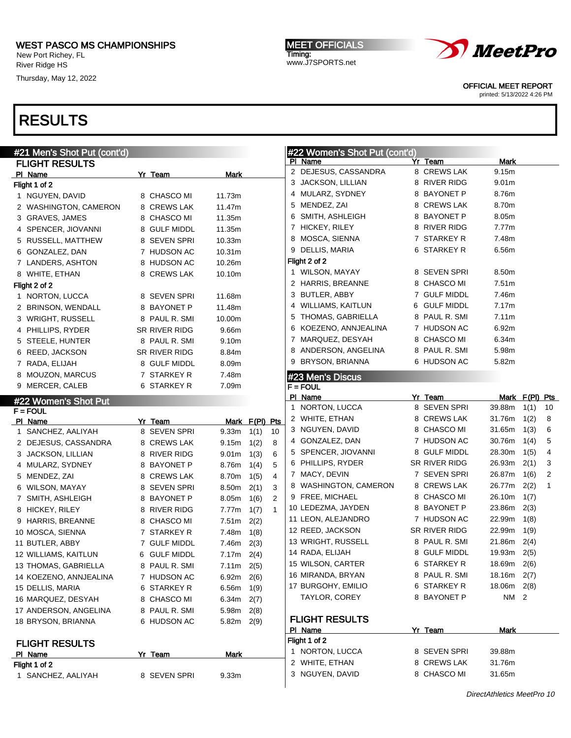New Port Richey, FL River Ridge HS

Thursday, May 12, 2022

# RESULTS

| #21 Men's Shot Put (cont'd) |               |                                | #22 Women's Shot Put (cont'd) |               |                      |
|-----------------------------|---------------|--------------------------------|-------------------------------|---------------|----------------------|
| <b>FLIGHT RESULTS</b>       |               |                                | PI Name                       | Yr Team       | Mark                 |
| PI Name                     | Yr Team       | Mark                           | 2 DEJESUS, CASSANDRA          | 8 CREWS LAK   | 9.15m                |
| Flight 1 of 2               |               |                                | 3 JACKSON, LILLIAN            | 8 RIVER RIDG  | 9.01 <sub>m</sub>    |
| 1 NGUYEN, DAVID             | 8 CHASCO MI   | 11.73m                         | 4 MULARZ, SYDNEY              | 8 BAYONET P   | 8.76m                |
| 2 WASHINGTON, CAMERON       | 8 CREWS LAK   | 11.47m                         | 5 MENDEZ, ZAI                 | 8 CREWS LAK   | 8.70m                |
| 3 GRAVES, JAMES             | 8 CHASCO MI   | 11.35m                         | 6 SMITH, ASHLEIGH             | 8 BAYONET P   | 8.05m                |
| 4 SPENCER, JIOVANNI         | 8 GULF MIDDL  | 11.35m                         | 7 HICKEY, RILEY               | 8 RIVER RIDG  | 7.77m                |
| 5 RUSSELL, MATTHEW          | 8 SEVEN SPRI  | 10.33m                         | 8 MOSCA, SIENNA               | 7 STARKEY R   | 7.48m                |
| 6 GONZALEZ, DAN             | 7 HUDSON AC   | 10.31m                         | 9 DELLIS, MARIA               | 6 STARKEY R   | 6.56m                |
| 7 LANDERS, ASHTON           | 8 HUDSON AC   | 10.26m                         | Flight 2 of 2                 |               |                      |
| 8 WHITE, ETHAN              | 8 CREWS LAK   | 10.10m                         | 1 WILSON, MAYAY               | 8 SEVEN SPRI  | 8.50m                |
| Flight 2 of 2               |               |                                | 2 HARRIS, BREANNE             | 8 CHASCO MI   | 7.51m                |
| 1 NORTON, LUCCA             | 8 SEVEN SPRI  | 11.68m                         | 3 BUTLER, ABBY                | 7 GULF MIDDL  | 7.46m                |
| 2 BRINSON, WENDALL          | 8 BAYONET P   | 11.48m                         | 4 WILLIAMS, KAITLUN           | 6 GULF MIDDL  | 7.17m                |
| 3 WRIGHT, RUSSELL           | 8 PAUL R. SMI | 10.00m                         | 5 THOMAS, GABRIELLA           | 8 PAUL R. SMI | 7.11m                |
| 4 PHILLIPS, RYDER           | SR RIVER RIDG | 9.66m                          | 6 KOEZENO, ANNJEALINA         | 7 HUDSON AC   | 6.92m                |
| 5 STEELE, HUNTER            | 8 PAUL R. SMI | 9.10m                          | 7 MARQUEZ, DESYAH             | 8 CHASCO MI   | 6.34m                |
| 6 REED, JACKSON             | SR RIVER RIDG | 8.84m                          | 8 ANDERSON, ANGELINA          | 8 PAUL R. SMI | 5.98m                |
| 7 RADA, ELIJAH              | 8 GULF MIDDL  | 8.09m                          | 9 BRYSON, BRIANNA             | 6 HUDSON AC   | 5.82m                |
| 8 MOUZON, MARCUS            | 7 STARKEY R   | 7.48m                          | #23 Men's Discus              |               |                      |
| 9 MERCER, CALEB             | 6 STARKEY R   | 7.09m                          | $F = FOUT$                    |               |                      |
| #22 Women's Shot Put        |               |                                | PI Name                       | Yr Team       | Mark F(PI) Pts       |
| <b>F</b> = FOUL             |               |                                | 1 NORTON, LUCCA               | 8 SEVEN SPRI  | 39.88m<br>1(1)<br>10 |
| PI Name                     | Yr Team       | Mark F(PI) Pts                 | 2 WHITE, ETHAN                | 8 CREWS LAK   | 31.76m<br>1(2)<br>8  |
| 1 SANCHEZ, AALIYAH          | 8 SEVEN SPRI  | 9.33m<br>10<br>1(1)            | 3 NGUYEN, DAVID               | 8 CHASCO MI   | 31.65m<br>1(3)<br>6  |
| 2 DEJESUS, CASSANDRA        | 8 CREWS LAK   | 1(2)<br>8<br>9.15m             | 4 GONZALEZ, DAN               | 7 HUDSON AC   | 30.76m<br>1(4)<br>5  |
| 3 JACKSON, LILLIAN          | 8 RIVER RIDG  | 1(3)<br>6<br>9.01 <sub>m</sub> | 5 SPENCER, JIOVANNI           | 8 GULF MIDDL  | 28.30m<br>1(5)<br>4  |
| 4 MULARZ, SYDNEY            | 8 BAYONET P   | 5<br>8.76m<br>1(4)             | 6 PHILLIPS, RYDER             | SR RIVER RIDG | 26.93m<br>2(1)<br>3  |
| 5 MENDEZ, ZAI               | 8 CREWS LAK   | 4<br>8.70m<br>1(5)             | 7 MACY, DEVIN                 | 7 SEVEN SPRI  | 26.87m<br>1(6)<br>2  |
| 6 WILSON, MAYAY             | 8 SEVEN SPRI  | 8.50m<br>2(1)<br>3             | 8 WASHINGTON, CAMERON         | 8 CREWS LAK   | 26.77m<br>2(2)<br>1  |
| 7 SMITH, ASHLEIGH           | 8 BAYONET P   | 2<br>8.05m<br>1(6)             | 9 FREE, MICHAEL               | 8 CHASCO MI   | 26.10m<br>1(7)       |
| 8 HICKEY, RILEY             | 8 RIVER RIDG  | $\mathbf{1}$<br>7.77m<br>1(7)  | 10 LEDEZMA, JAYDEN            | 8 BAYONET P   | 23.86m<br>2(3)       |
| 9 HARRIS, BREANNE           | 8 CHASCO MI   | 2(2)<br>7.51m                  | 11 LEON, ALEJANDRO            | 7 HUDSON AC   | 22.99m<br>1(8)       |
| 10 MOSCA, SIENNA            | 7 STARKEY R   | 7.48m<br>1(8)                  | 12 REED, JACKSON              | SR RIVER RIDG | 22.99m<br>1(9)       |
| 11 BUTLER, ABBY             | 7 GULF MIDDL  | 7.46m<br>2(3)                  | 13 WRIGHT, RUSSELL            | 8 PAUL R. SMI | 21.86m<br>2(4)       |
| 12 WILLIAMS, KAITLUN        | 6 GULF MIDDL  | $7.17m$ 2(4)                   | 14 RADA, ELIJAH               | 8 GULF MIDDL  | 19.93m<br>2(5)       |
| 13 THOMAS, GABRIELLA        | 8 PAUL R. SMI | $7.11m$ 2(5)                   | 15 WILSON, CARTER             | 6 STARKEY R   | 18.69m 2(6)          |
| 14 KOEZENO, ANNJEALINA      | 7 HUDSON AC   | 6.92m<br>2(6)                  | 16 MIRANDA, BRYAN             | 8 PAUL R. SMI | 18.16m<br>2(7)       |
| 15 DELLIS, MARIA            | 6 STARKEY R   | $6.56m$ 1(9)                   | 17 BURGOHY, EMILIO            | 6 STARKEY R   | 18.06m<br>2(8)       |
| 16 MARQUEZ, DESYAH          | 8 CHASCO MI   | 6.34m<br>2(7)                  | TAYLOR, COREY                 | 8 BAYONET P   | NM 2                 |
| 17 ANDERSON, ANGELINA       | 8 PAUL R. SMI | 5.98m<br>2(8)                  | <b>FLIGHT RESULTS</b>         |               |                      |
| 18 BRYSON, BRIANNA          | 6 HUDSON AC   | 5.82m 2(9)                     | PI Name                       | Yr Team       | Mark                 |
|                             |               |                                | Flight 1 of 2                 |               |                      |
| <b>FLIGHT RESULTS</b>       |               |                                | 1 NORTON, LUCCA               | 8 SEVEN SPRI  | 39.88m               |
| PI Name<br>Flight 1 of 2    | Yr Team       | Mark                           | 2 WHITE, ETHAN                | 8 CREWS LAK   | 31.76m               |
| 1 SANCHEZ, AALIYAH          | 8 SEVEN SPRI  | 9.33 <sub>m</sub>              | 3 NGUYEN, DAVID               | 8 CHASCO MI   | 31.65m               |
|                             |               |                                |                               |               |                      |

MEET OFFICIALS Timing: www.J7SPORTS.net



OFFICIAL MEET REPORT printed: 5/13/2022 4:26 PM

DirectAthletics MeetPro 10